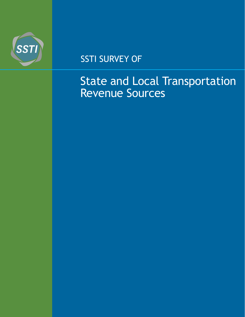

## SSTI SURVEY OF

# State and Local Transportation Revenue Sources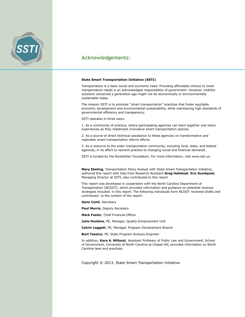

#### **Acknowledgements:**

#### **State Smart Transportation Initiative (SSTI)**

Transportation is a basic social and economic need. Providing affordable choices to meet transportation needs is an acknowledged responsibility of government. However, mobility solutions conceived a generation ago might not be economically or environmentally sustainable today.

The mission SSTI is to promote "smart transportation" practices that foster equitable economic development and environmental sustainability, while maintaining high standards of governmental efficiency and transparency.

SSTI operates in three ways:

1. As a community of practice, where participating agencies can learn together and share experiences as they implement innovative smart transportation policies.

2. As a source of direct technical assistance to these agencies on transformative and replicable smart transportation reform efforts.

3. As a resource to the wider transportation community, including local, state, and federal agencies, in its effort to reorient practice to changing social and financial demands.

SSTI is funded by the Rockefeller Foundation. For more information, visit www.ssti.us.

**Mary Ebeling**, Transportation Policy Analyst with State Smart Transportation Initiative, authored this report with help from Research Assistant **Greg Halstead**. **Eric Sundquist**, Managing Director at SSTI, also contributed to this report

This report was developed in cooperation with the North Carolina Department of Transportation (NCDOT), which provided information and guidance on potential revenue strategies included in this report. The following individuals form NCDOT reviewed drafts and contributed to the content of the report:

**Gene Conti**, Secretary

**Paul Morris**, Deputy Secretary

**Mark Foster**, Chief Financial Officer

**Julie Hunkins**, PE, Manager, Quality Enhancement Unit

**Calvin Leggett**, PE, Manager, Program Development Branch

**Burt Tasaico**, PE, State Program Analysis Engineer

In addition, **Kara A. Millonzi**, Assistant Professor of Public Law and Government, School of Government, University of North Carolina at Chapel Hill, provided information on North Carolina laws and practices.

Copyright © 2013, State Smart Transportation Initiative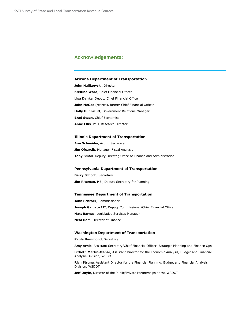#### **Acknowledgements:**

#### **Arizona Department of Transportation**

**John Halikowski**, Director **Kristine Ward**, Chief Financial Officer **Lisa Danka**, Deputy Chief Financial Officer **John McGee** (retired), former Chief Financial Officer **Holly Hunnicutt**, Government Relations Manager **Brad Steen**, Chief Economist **Anne Ellis**, PhD, Research Director

#### **Illinois Department of Transportation**

**Ann Schneide**r, Acting Secretary **Jim Ofcarcik**, Manager, Fiscal Analysis **Tony Small**, Deputy Director, Office of Finance and Administration

#### **Pennsylvania Department of Transportation**

**Barry Schoch**, Secretary **Jim Ritzman**, P.E., Deputy Secretary for Planning

#### **Tennessee Department of Transportation**

**John Schroer**, Commissioner **Joseph Galbato III**, Deputy Commissioner/Chief Financial Officer **Matt Barnes**, Legislative Services Manager **Neal Ham**, Director of Finance

#### **Washington Department of Transportation**

**Paula Hammond**, Secretary

**Amy Arnis**, Assistant Secretary/Chief Financial Officer: Strategic Planning and Finance Ops

**Lizbeth Martin-Mahar**, Assistant Director for the Economic Analysis, Budget and Financial Analysis Division, WSDOT

**Rich Struna,** Assistant Director for the Financial Planning, Budget and Financial Analysis Division, WSDOT

**Jeff Doyle**, Director of the Public/Private Partnerships at the WSDOT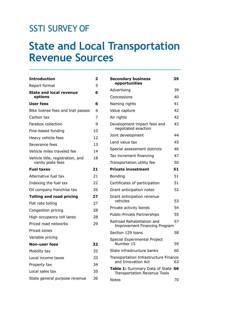## SSTI SURVEY OF

# **State and Local Transportation Revenue Sources**

| <b>Introduction</b>                                   | 2  |
|-------------------------------------------------------|----|
| Report format                                         | 5  |
| <b>State and local revenue</b><br>options             | 6  |
| User fees                                             | 6  |
| Bike license fees and trail passes                    | 6  |
| Carbon tax                                            | 7  |
| Farebox collection                                    | 9  |
| Fine-based funding                                    | 10 |
| Heavy vehicle fees                                    | 12 |
| Severance fees                                        | 13 |
| Vehicle miles traveled fee                            | 14 |
| Vehicle title, registration, and<br>vanity plate fees | 18 |
| <b>Fuel taxes</b>                                     | 21 |
| Alternative fuel tax                                  | 21 |
| Indexing the fuel tax                                 | 22 |
| Oil company franchise tax                             | 26 |
| <b>Tolling and road pricing</b>                       | 27 |
| Flat rate tolling                                     | 27 |
| Congestion pricing                                    | 28 |
| High occupancy toll lanes                             | 28 |
| Priced road networks                                  | 29 |
| Priced zones                                          |    |
| Variable pricing                                      |    |
| <b>Non-user fees</b>                                  | 32 |
| Mobility tax                                          | 32 |
| Local income taxes                                    | 33 |
| Property tax                                          | 34 |
| Local sales tax                                       | 35 |
| State general purpose revenue                         | 36 |

| <b>Secondary business</b><br>opportunities                            | 39 |
|-----------------------------------------------------------------------|----|
| Advertising                                                           | 39 |
| Concessions                                                           | 40 |
| Naming rights                                                         | 41 |
| Value capture                                                         | 42 |
| Air rights                                                            | 42 |
| Development impact fees and<br>negotiated exaction                    | 43 |
| Joint development                                                     | 44 |
| Land value tax                                                        | 45 |
| Special assessment districts                                          | 46 |
| Tax increment financing                                               | 47 |
| Transportation utility fee                                            | 50 |
| <b>Private investment</b>                                             | 51 |
| Bonding                                                               | 51 |
| Certificates of participation                                         | 51 |
| Grant anticipation notes                                              | 52 |
| Grant anticipation revenue<br>vehicles                                | 53 |
| Private activity bonds                                                | 54 |
| <b>Public-Private Partnerships</b>                                    | 55 |
| Railroad Rehabilitation and<br><b>Improvement Financing Program</b>   | 57 |
| Section 129 loans                                                     | 58 |
| Special Experimental Project<br>Number 15                             | 59 |
| State infrastructure banks                                            | 60 |
| Transportation Infrastructure Finance<br>and Innovation Act           | 63 |
| Table 1: Summary Data of State<br><b>Transportation Revenue Tools</b> | 66 |
| Notes                                                                 | 70 |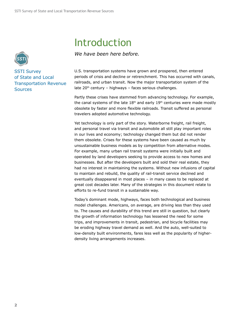# Introduction

*We have been here before.*

U.S. transportation systems have grown and prospered, then entered periods of crisis and decline or retrenchment. This has occurred with canals, railroads, and urban transit. Now the major transportation system of the late  $20<sup>th</sup>$  century – highways – faces serious challenges.

Partly these crises have stemmed from advancing technology. For example, the canal systems of the late  $18<sup>th</sup>$  and early  $19<sup>th</sup>$  centuries were made mostly obsolete by faster and more flexible railroads. Transit suffered as personal travelers adopted automotive technology.

Yet technology is only part of the story. Waterborne freight, rail freight, and personal travel via transit and automobile all still play important roles in our lives and economy; technology changed them but did not render them obsolete. Crises for these systems have been caused as much by unsustainable business models as by competition from alternative modes. For example, many urban rail transit systems were initially built and operated by land developers seeking to provide access to new homes and businesses. But after the developers built and sold their real estate, they had no interest in maintaining the systems. Without new infusions of capital to maintain and rebuild, the quality of rail-transit service declined and eventually disappeared in most places – in many cases to be replaced at great cost decades later. Many of the strategies in this document relate to efforts to re-fund transit in a sustainable way.

Today's dominant mode, highways, faces both technological and business model challenges. Americans, on average, are driving less than they used to. The causes and durability of this trend are still in question, but clearly the growth of information technology has lessened the need for some trips, and improvements in transit, pedestrian, and bicycle facilities may be eroding highway travel demand as well. And the auto, well-suited to low-density built environments, fares less well as the popularity of higherdensity living arrangements increases.



SSTI Survey of State and Local Transportation Revenue **Sources**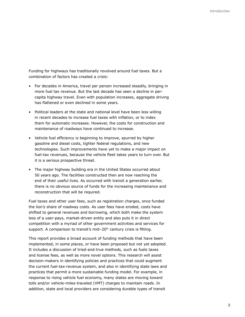Funding for highways has traditionally revolved around fuel taxes. But a combination of factors has created a crisis:

- For decades in America, travel per person increased steadily, bringing in more fuel tax revenue. But the last decade has seen a decline in percapita highway travel. Even with population increases, aggregate driving has flattened or even declined in some years.
- Political leaders at the state and national level have been less willing in recent decades to increase fuel taxes with inflation, or to index them for automatic increases. However, the costs for construction and maintenance of roadways have continued to increase.
- Vehicle fuel efficiency is beginning to improve, spurred by higher gasoline and diesel costs, tighter federal regulations, and new technologies. Such improvements have yet to make a major impact on fuel-tax revenues, because the vehicle fleet takes years to turn over. But it is a serious prospective threat.
- The major highway building era in the United States occurred about 50 years ago. The facilities constructed then are now reaching the end of their useful lives. As occurred with transit a generation earlier, there is no obvious source of funds for the increasing maintenance and reconstruction that will be required.

Fuel taxes and other user fees, such as registration charges, once funded the lion's share of roadway costs. As user fees have eroded, costs have shifted to general revenues and borrowing, which both make the system less of a user-pays, market-driven entity and also puts it in direct competition with a myriad of other government activities and services for support. A comparison to transit's mid-20<sup>th</sup> century crisis is fitting.

This report provides a broad account of funding methods that have been implemented, in some places, or have been proposed but not yet adopted. It includes a discussion of tried-and-true methods, such as fuels taxes and license fees, as well as more novel options. This research will assist decision-makers in identifying policies and practices that could augment the current fuel-tax-revenue system, and also in identifying state laws and practices that permit a more sustainable funding model. For example, in response to rising vehicle fuel economy, many states are moving toward tolls and/or vehicle-miles-traveled (VMT) charges to maintain roads. In addition, state and local providers are considering durable types of transit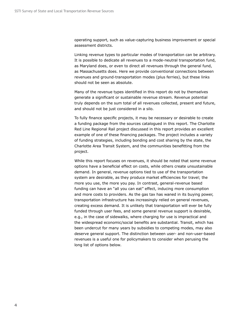operating support, such as value-capturing business improvement or special assessment districts.

Linking revenue types to particular modes of transportation can be arbitrary. It is possible to dedicate all revenues to a mode-neutral transportation fund, as Maryland does, or even to direct all revenues through the general fund, as Massachusetts does. Here we provide conventional connections between revenues and ground-transportation modes (plus ferries), but these links should not be seen as absolute.

Many of the revenue types identified in this report do not by themselves generate a significant or sustainable revenue stream. Revenue potential truly depends on the sum total of all revenues collected, present and future, and should not be just considered in a silo.

To fully finance specific projects, it may be necessary or desirable to create a funding package from the sources catalogued in this report. The Charlotte Red Line Regional Rail project discussed in this report provides an excellent example of one of these financing packages. The project includes a variety of funding strategies, including bonding and cost sharing by the state, the Charlotte Area Transit System, and the communities benefitting from the project.

While this report focuses on revenues, it should be noted that some revenue options have a beneficial effect on costs, while others create unsustainable demand. In general, revenue options tied to use of the transportation system are desirable, as they produce market efficiencies for travel; the more you use, the more you pay. In contrast, general-revenue based funding can have an "all you can eat" effect, inducing more consumption and more costs to providers. As the gas tax has waned in its buying power, transportation infrastructure has increasingly relied on general revenues, creating excess demand. It is unlikely that transportation will ever be fully funded through user fees, and some general revenue support is desirable, e.g., in the case of sidewalks, where charging for use is impractical and the widespread economic/social benefits are substantial. Transit, which has been undercut for many years by subsidies to competing modes, may also deserve general support. The distinction between user- and non-user-based revenues is a useful one for policymakers to consider when perusing the long list of options below.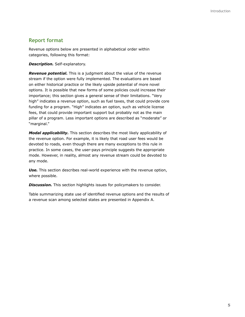### **Report format**

Revenue options below are presented in alphabetical order within categories, following this format:

*Description.* Self-explanatory.

*Revenue potential.* This is a judgment about the value of the revenue stream if the option were fully implemented. The evaluations are based on either historical practice or the likely upside potential of more novel options. It is possible that new forms of some policies could increase their importance; this section gives a general sense of their limitations. "Very high" indicates a revenue option, such as fuel taxes, that could provide core funding for a program. "High" indicates an option, such as vehicle license fees, that could provide important support but probably not as the main pillar of a program. Less important options are described as "moderate" or "marginal."

*Modal applicability.* This section describes the most likely applicability of the revenue option. For example, it is likely that road user fees would be devoted to roads, even though there are many exceptions to this rule in practice. In some cases, the user-pays principle suggests the appropriate mode. However, in reality, almost any revenue stream could be devoted to any mode.

*Use.* This section describes real-world experience with the revenue option, where possible.

**Discussion.** This section highlights issues for policymakers to consider.

Table summarizing state use of identified revenue options and the results of a revenue scan among selected states are presented in Appendix A.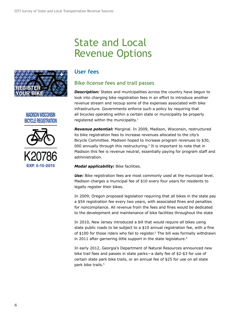## State and Local Revenue Options



### **MADISON WISCONSIN BICYCLE REGISTRATION**



### **User fees**

## **Bike license fees and trail passes**

**Description:** States and municipalities across the country have begun to look into charging bike registration fees in an effort to introduce another revenue stream and recoup some of the expenses associated with bike infrastructure. Governments enforce such a policy by requiring that all bicycles operating within a certain state or municipality be properly registered within the municipality.<sup>1</sup>

*Revenue potential:* Marginal. In 2009, Madison, Wisconsin, restructured its bike registration fees to increase revenues allocated to the city's Bicycle Committee. Madison hoped to increase program revenues to \$30, 000 annually through this restructuring.2 It is important to note that in Madison this fee is revenue neutral, essentially paying for program staff and administration.

#### *Modal applicability:* Bike facilities.

**Use:** Bike registration fees are most commonly used at the municipal level. Madison charges a municipal fee of \$10 every four years for residents to legally register their bikes.

In 2009, Oregon proposed legislation requiring that all bikes in the state pay a \$54 registration fee every two years, with associated fines and penalties for noncompliance. All revenue from the fees and fines would be dedicated to the development and maintenance of bike facilities throughout the state

In 2010, New Jersey introduced a bill that would require all bikes using state public roads to be subject to a \$10 annual registration fee, with a fine of  $$100$  for those riders who fail to register.<sup>3</sup> The bill was formally withdrawn in 2011 after garnering little support in the state legislature.<sup>4</sup>

In early 2012, Georgia's Department of Natural Resources announced new bike trail fees and passes in state parks—a daily fee of \$2-\$3 for use of certain state park bike trails, or an annual fee of \$25 for use on all state park bike trails.<sup>5</sup>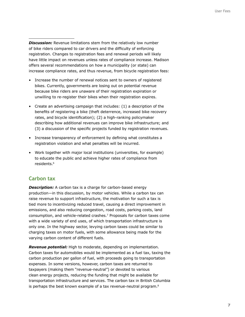**Discussion:** Revenue limitations stem from the relatively low number of bike riders compared to car drivers and the difficulty of enforcing registration. Changes to registration fees and renewal periods will likely have little impact on revenues unless rates of compliance increase. Madison offers several recommendations on how a municipality (or state) can increase compliance rates, and thus revenue, from bicycle registration fees:

- Increase the number of renewal notices sent to owners of registered bikes. Currently, governments are losing out on potential revenue because bike riders are unaware of their registration expiration or unwilling to re-register their bikes when their registration expires.
- Create an advertising campaign that includes: (1) a description of the benefits of registering a bike (theft deterrence, increased bike recovery rates, and bicycle identification); (2) a high-ranking policymaker describing how additional revenues can improve bike infrastructure; and (3) a discussion of the specific projects funded by registration revenues.
- Increase transparency of enforcement by defining what constitutes a registration violation and what penalties will be incurred.
- Work together with major local institutions (universities, for example) to educate the public and achieve higher rates of compliance from residents.<sup>6</sup>

## **Carbon tax**

**Description:** A carbon tax is a charge for carbon-based energy production—in this discussion, by motor vehicles. While a carbon tax can raise revenue to support infrastructure, the motivation for such a tax is tied more to incentivizing reduced travel, causing a direct improvement in emissions, and also reducing congestion, road costs, parking costs, land consumption, and vehicle-related crashes.7 Proposals for carbon taxes come with a wide variety of end uses, of which transportation infrastructure is only one. In the highway sector, levying carbon taxes could be similar to charging taxes on motor fuels, with some allowance being made for the varying carbon content of different fuels.

*Revenue potential:* High to moderate, depending on implementation. Carbon taxes for automobiles would be implemented as a fuel tax, taxing the carbon production per gallon of fuel, with proceeds going to transportation expenses. In some versions, however, carbon taxes are returned to taxpayers (making them "revenue-neutral") or devoted to various clean energy projects, reducing the funding that might be available for transportation infrastructure and services. The carbon tax in British Columbia is perhaps the best known example of a tax revenue-neutral program.<sup>8</sup>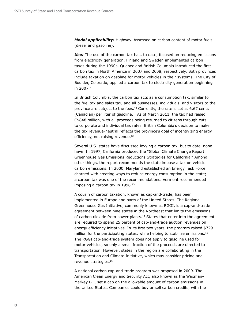*Modal applicability:* Highway. Assessed on carbon content of motor fuels (diesel and gasoline).

*Use:* The use of the carbon tax has, to date, focused on reducing emissions from electricity generation. Finland and Sweden implemented carbon taxes during the 1990s. Quebec and British Columbia introduced the first carbon tax in North America in 2007 and 2008, respectively. Both provinces include taxation on gasoline for motor vehicles in their systems. The City of Boulder, Colorado, applied a carbon tax to electricity generation beginning in 2007.<sup>9</sup>

In British Columbia, the carbon tax acts as a consumption tax, similar to the fuel tax and sales tax, and all businesses, individuals, and visitors to the province are subject to the fees.<sup>10</sup> Currently, the rate is set at  $6.67$  cents (Canadian) per liter of gasoline.11 As of March 2011, the tax had raised C\$848 million, with all proceeds being returned to citizens through cuts to corporate and individual tax rates. British Columbia's decision to make the tax revenue-neutral reflects the province's goal of incentivizing energy efficiency, not raising revenue.<sup>12</sup>

Several U.S. states have discussed levying a carbon tax, but to date, none have. In 1997, California produced the "Global Climate Change Report: Greenhouse Gas Emissions Reductions Strategies for California." Among other things, the report recommends the state impose a tax on vehicle carbon emissions. In 2000, Maryland established an Energy Task Force charged with creating ways to reduce energy consumption in the state; a carbon tax was one of the recommendations. Vermont recommended imposing a carbon tax in 1998.<sup>13</sup>

A cousin of carbon taxation, known as cap-and-trade, has been implemented in Europe and parts of the United States. The Regional Greenhouse Gas Initiative, commonly known as RGGI, is a cap-and-trade agreement between nine states in the Northeast that limits the emissions of carbon dioxide from power plants.14 States that enter into the agreement are required to spend 25 percent of cap-and-trade auction revenues on energy efficiency initiatives. In its first two years, the program raised \$729 million for the participating states, while helping to stabilize emissions.<sup>15</sup> The RGGI cap-and-trade system does not apply to gasoline used for motor vehicles, so only a small fraction of the proceeds are directed to transportation. However, states in the region are collaborating in the Transportation and Climate Initiative, which may consider pricing and revenue strategies.16

A national carbon cap-and-trade program was proposed in 2009. The American Clean Energy and Security Act, also known as the Waxman– Markey Bill, set a cap on the allowable amount of carbon emissions in the United States. Companies could buy or sell carbon credits, with the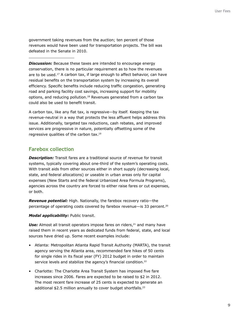government taking revenues from the auction; ten percent of those revenues would have been used for transportation projects. The bill was defeated in the Senate in 2010.

**Discussion:** Because these taxes are intended to encourage energy conservation, there is no particular requirement as to how the revenues are to be used.<sup>17</sup> A carbon tax, if large enough to affect behavior, can have residual benefits on the transportation system by increasing its overall efficiency. Specific benefits include reducing traffic congestion, generating road and parking facility cost savings, increasing support for mobility options, and reducing pollution.18 Revenues generated from a carbon tax could also be used to benefit transit.

A carbon tax, like any flat tax, is regressive—by itself. Keeping the tax revenue-neutral in a way that protects the less affluent helps address this issue. Additionally, targeted tax reductions, cash rebates, and improved services are progressive in nature, potentially offsetting some of the regressive qualities of the carbon tax.19

### **Farebox collection**

**Description:** Transit fares are a traditional source of revenue for transit systems, typically covering about one-third of the system's operating costs. With transit aids from other sources either in short supply (decreasing local, state, and federal allocations) or useable in urban areas only for capital expenses (New Starts and the federal Urbanized Area Formula Programs), agencies across the country are forced to either raise fares or cut expenses, or both.

*Revenue potential:* High. Nationally, the farebox recovery ratio—the percentage of operating costs covered by farebox revenue—is 33 percent.20

*Modal applicability:* Public transit.

Use: Almost all transit operators impose fares on riders,<sup>21</sup> and many have raised them in recent years as dedicated funds from federal, state, and local sources have dried up. Some recent examples include:

- Atlanta: Metropolitan Atlanta Rapid Transit Authority (MARTA), the transit agency serving the Atlanta area, recommended fare hikes of 50 cents for single rides in its fiscal year (FY) 2012 budget in order to maintain service levels and stabilize the agency's financial condition.<sup>22</sup>
- Charlotte: The Charlotte Area Transit System has imposed five fare increases since 2006. Fares are expected to be raised to \$2 in 2012. The most recent fare increase of 25 cents is expected to generate an additional \$2.5 million annually to cover budget shortfalls.<sup>23</sup>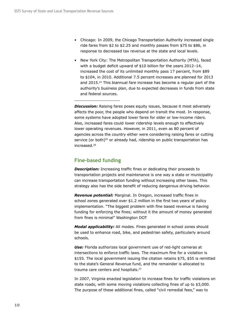- Chicago: In 2009, the Chicago Transportation Authority increased single ride fares from \$2 to \$2.25 and monthly passes from \$75 to \$86, in response to decreased tax revenue at the state and local levels.
- New York City: The Metropolitan Transportation Authority (MTA), faced with a budget deficit upward of \$10 billion for the years 2012–14, increased the cost of its unlimited monthly pass 17 percent, from \$89 to \$104, in 2010. Additional 7.5 percent increases are planned for 2013 and 2015.24 This biannual fare increase has become a regular part of the authority's business plan, due to expected decreases in funds from state and federal sources.

**Discussion:** Raising fares poses equity issues, because it most adversely affects the poor, the people who depend on transit the most. In response, some systems have adopted lower fares for older or low-income riders. Also, increased fares could lower ridership levels enough to effectively lower operating revenues. However, in 2011, even as 80 percent of agencies across the country either were considering raising fares or cutting service (or both)<sup>25</sup> or already had, ridership on public transportation has increased.26

## **Fine-based funding**

*Description:* Increasing traffic fines or dedicating their proceeds to transportation projects and maintenance is one way a state or municipality can increase transportation funding without increasing other taxes. This strategy also has the side benefit of reducing dangerous driving behavior.

*Revenue potential:* Marginal. In Oregon, increased traffic fines in school zones generated over \$1.2 million in the first two years of policy implementation. "The biggest problem with fine based revenue is having funding for enforcing the fines; without it the amount of money generated from fines is minimal" Washington DOT

*Modal applicability:* All modes. Fines generated in school zones should be used to enhance road, bike, and pedestrian safety, particularly around schools.

*Use:* Florida authorizes local government use of red-light cameras at intersections to enforce traffic laws. The maximum fine for a violation is \$155. The local government issuing the citation retains \$75, \$55 is remitted to the state's General Revenue fund, and the remainder is allocated to trauma care centers and hospitals.<sup>27</sup>

In 2007, Virginia enacted legislation to increase fines for traffic violations on state roads, with some moving violations collecting fines of up to \$3,000. The purpose of these additional fines, called "civil remedial fees," was to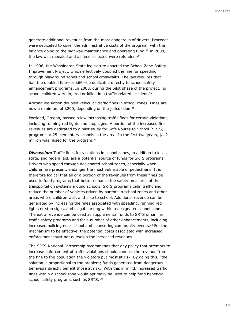generate additional revenues from the most dangerous of drivers. Proceeds were dedicated to cover the administrative costs of the program, with the balance going to the highway maintenance and operating fund.<sup>28</sup> In 2008, the law was repealed and all fees collected were refunded.<sup>29</sup>

In 1996, the Washington State legislature enacted the School Zone Safety Improvement Project, which effectively doubled the fine for speeding through playground zones and school crosswalks. The law requires that half the doubled fine—or \$66—be dedicated directly to school safety enhancement programs. In 2000, during the pilot phase of the project, no school children were injured or killed in a traffic-related accident.<sup>30</sup>

Arizona legislation doubled vehicular traffic fines in school zones. Fines are now a minimum of \$200, depending on the jurisdiction.<sup>31</sup>

Portland, Oregon, passed a law increasing traffic fines for certain violations, including running red lights and stop signs. A portion of the increased fine revenues are dedicated to a pilot study for Safe Routes to School (SRTS) programs at 25 elementary schools in the area. In the first two years, \$1.2 million was raised for the program.<sup>32</sup>

*Discussion:* Traffic fines for violations in school zones, in addition to local, state, and federal aid, are a potential source of funds for SRTS programs. Drivers who speed through designated school zones, especially when children are present, endanger the most vulnerable of pedestrians. It is therefore logical that all or a portion of the revenues from these fines be used to fund programs that better enhance the safety measures of the transportation systems around schools. SRTS programs calm traffic and reduce the number of vehicles driven by parents in school zones and other areas where children walk and bike to school. Additional revenue can be generated by increasing the fines associated with speeding, running red lights or stop signs, and illegal parking within a designated school zone. The extra revenue can be used as supplemental funds to SRTS or similar traffic safety programs and for a number of other enhancements, including increased policing near school and sponsoring community events.33 For the mechanism to be effective, the potential costs associated with increased enforcement must not outweigh the increased revenues.

The SRTS National Partnership recommends that any policy that attempts to increase enforcement of traffic violations should connect the revenue from the fine to the population the violators put most at risk. By doing this, "the solution is proportional to the problem; funds generated from dangerous behaviors directly benefit those at risk." With this in mind, increased traffic fines within a school zone would optimally be used to help fund beneficial school safety programs such as SRTS. 34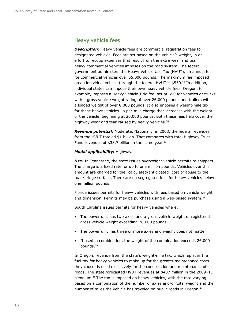#### **Heavy vehicle fees**

**Description:** Heavy vehicle fees are commercial registration fees for designated vehicles. Fees are set based on the vehicle's weight, in an effort to recoup expenses that result from the extra wear and tear heavy commercial vehicles imposes on the road system. The federal government administers the Heavy Vehicle Use Tax (HVUT), an annual fee for commercial vehicles over 55,000 pounds. The maximum fee imposed on an individual vehicle through the federal HVUT is \$550.35 In addition, individual states can impose their own heavy vehicle fees. Oregon, for example, imposes a Heavy Vehicle Title fee, set at \$90 for vehicles or trucks with a gross vehicle weight rating of over 26,000 pounds and trailers with a loaded weight of over 8,000 pounds. It also imposes a weight-mile tax for these heavy vehicles—a per-mile charge that increases with the weight of the vehicle, beginning at 26,000 pounds. Both these fees help cover the highway wear and tear caused by heavy vehicles.<sup>36</sup>

*Revenue potential:* Moderate. Nationally, in 2008, the federal revenues from the HVUT totaled \$1 billion. That compares with total Highway Trust Fund revenues of \$38.7 billion in the same year.<sup>37</sup>

#### *Modal applicability:* Highway.

*Use:* In Tennessee, the state issues overweight vehicle permits to shippers. The charge is a fixed rate for up to one million pounds. Vehicles over this amount are charged for the "calculated/anticipated" cost of abuse to the road/bridge surface. There are no segregated fees for heavy vehicles below one million pounds.

Florida issues permits for heavy vehicles with fees based on vehicle weight and dimension. Permits may be purchase using a web-based system.<sup>38</sup>

South Carolina issues permits for heavy vehicles where:

- The power unit has two axles and a gross vehicle weight or registered gross vehicle weight exceeding 26,000 pounds.
- The power unit has three or more axles and weight does not matter.
- If used in combination, the weight of the combination exceeds 26,000 pounds.39

In Oregon, revenue from the state's weight-mile tax, which replaces the fuel tax for heavy vehicles to make up for the greater maintenance costs they cause, is used exclusively for the construction and maintenance of roads. The state forecasted HVUT revenues at \$487 million in the 2009–11 biennium.40 The tax is imposed on heavy vehicles, with the rate varying based on a combination of the number of axles and/or total weight and the number of miles the vehicle has traveled on public roads in Oregon.<sup>41</sup>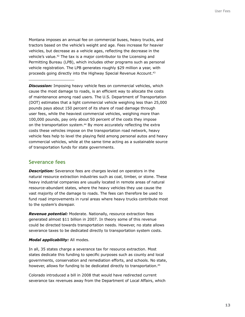Montana imposes an annual fee on commercial buses, heavy trucks, and tractors based on the vehicle's weight and age. Fees increase for heavier vehicles, but decrease as a vehicle ages, reflecting the decrease in the vehicle's value.42 The tax is a major contributor to the Licensing and Permitting Bureau (LPB), which includes other programs such as personal vehicle registration. The LPB generates roughly \$29 million a year, with proceeds going directly into the Highway Special Revenue Account.43

**Discussion:** Imposing heavy vehicle fees on commercial vehicles, which cause the most damage to roads, is an efficient way to allocate the costs of maintenance among road users. The U.S. Department of Transportation (DOT) estimates that a light commercial vehicle weighing less than 25,000 pounds pays about 150 percent of its share of road damage through user fees, while the heaviest commercial vehicles, weighing more than 100,000 pounds, pay only about 50 percent of the costs they impose on the transportation system.<sup>44</sup> By more accurately reflecting the extra costs these vehicles impose on the transportation road network, heavy vehicle fees help to level the playing field among personal autos and heavy commercial vehicles, while at the same time acting as a sustainable source of transportation funds for state governments.

#### **Severance fees**

*Description:* Severance fees are charges levied on operators in the natural resource extraction industries such as coal, timber, or stone. These heavy industrial companies are usually located in remote areas of natural resource-abundant states, where the heavy vehicles they use cause the vast majority of the damage to roads. The fees can therefore be used to fund road improvements in rural areas where heavy trucks contribute most to the system's disrepair.

*Revenue potential:* Moderate. Nationally, resource extraction fees generated almost \$11 billion in 2007. In theory some of this revenue could be directed towards transportation needs. However, no state allows severance taxes to be dedicated directly to transportation system costs.

#### *Modal applicability:* All modes.

In all, 35 states charge a severance tax for resource extraction. Most states dedicate this funding to specific purposes such as county and local governments, conservation and remediation efforts, and schools. No state, however, allows for funding to be dedicated directly to transportation.<sup>45</sup>

Colorado introduced a bill in 2008 that would have redirected current severance tax revenues away from the Department of Local Affairs, which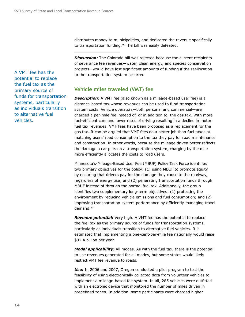distributes money to municipalities, and dedicated the revenue specifically to transportation funding.46 The bill was easily defeated.

**Discussion:** The Colorado bill was rejected because the current recipients of severance fee revenues—water, clean energy, and species conservation projects—would have lost significant amounts of funding if the reallocation to the transportation system occurred.

#### **Vehicle miles traveled (VMT) fee**

**Description:** A VMT fee (also known as a mileage-based user fee) is a distance-based tax whose revenues can be used to fund transportation system costs. Vehicle operators—both personal and commercial—are charged a per-mile fee instead of, or in addition to, the gas tax. With more fuel-efficient cars and lower rates of driving resulting in a decline in motor fuel tax revenues, VMT fees have been proposed as a replacement for the gas tax. It can be argued that VMT fees do a better job than fuel taxes at matching users' road consumption to the tax they pay for road maintenance and construction. In other words, because the mileage driven better reflects the damage a car puts on a transportation system, charging by the mile more efficiently allocates the costs to road users.

Minnesota's-Mileage-Based User Fee (MBUF) Policy Task Force identifies two primary objectives for the policy: (1) using MBUF to promote equity by ensuring that drivers pay for the damage they cause to the roadway, regardless of energy use; and (2) generating transportation funds through MBUF instead of through the normal fuel tax. Additionally, the group identifies two supplementary long-term objectives: (1) protecting the environment by reducing vehicle emissions and fuel consumption; and (2) improving transportation system performance by efficiently managing travel demand.47

*Revenue potential:* Very high. A VMT fee has the potential to replace the fuel tax as the primary source of funds for transportation systems, particularly as individuals transition to alternative fuel vehicles. It is estimated that implementing a one-cent-per-mile fee nationally would raise \$32.4 billion per year.

*Modal applicability:* All modes. As with the fuel tax, there is the potential to use revenues generated for all modes, but some states would likely restrict VMT fee revenue to roads.

*Use:* In 2006 and 2007, Oregon conducted a pilot program to test the feasibility of using electronically collected data from volunteer vehicles to implement a mileage-based fee system. In all, 285 vehicles were outfitted with an electronic device that monitored the number of miles driven in predefined zones. In addition, some participants were charged higher

A VMT fee has the potential to replace the fuel tax as the primary source of funds for transportation systems, particularly as individuals transition to alternative fuel vehicles.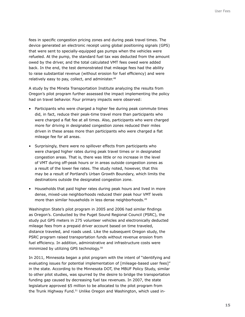fees in specific congestion pricing zones and during peak travel times. The device generated an electronic receipt using global positioning signals (GPS) that were sent to specially-equipped gas pumps when the vehicles were refueled. At the pump, the standard fuel tax was deducted from the amount owed by the driver, and the total calculated VMT fees owed were added back. In the end, the test demonstrated that mileage fees had the ability to raise substantial revenue (without erosion for fuel efficiency) and were relatively easy to pay, collect, and administer.<sup>48</sup>

A study by the Mineta Transportation Institute analyzing the results from Oregon's pilot program further assessed the impact implementing the policy had on travel behavior. Four primary impacts were observed:

- Participants who were charged a higher fee during peak commute times did, in fact, reduce their peak-time travel more than participants who were charged a flat fee at all times. Also, participants who were charged more for driving in designated congestion zones reduced their miles driven in these areas more than participants who were charged a flat mileage fee for all areas.
- Surprisingly, there were no spillover effects from participants who were charged higher rates during peak travel times or in designated congestion areas. That is, there was little or no increase in the level of VMT during off-peak hours or in areas outside congestion zones as a result of the lower fee rates. The study noted, however, that this may be a result of Portland's Urban Growth Boundary, which limits the destinations outside the designated congestion zone.
- Households that paid higher rates during peak hours and lived in more dense, mixed-use neighborhoods reduced their peak hour VMT levels more than similar households in less dense neighborhoods.<sup>49</sup>

Washington State's pilot program in 2005 and 2006 had similar findings as Oregon's. Conducted by the Puget Sound Regional Council (PSRC), the study put GPS meters in 275 volunteer vehicles and electronically deducted mileage fees from a prepaid driver account based on time traveled, distance traveled, and roads used. Like the subsequent Oregon study, the PSRC program raised transportation funds without revenue erosion from fuel efficiency. In addition, administrative and infrastructure costs were minimized by utilizing GPS technology.50

In 2011, Minnesota began a pilot program with the intent of "identifying and evaluating issues for potential implementation of [mileage-based user fees]" in the state. According to the Minnesota DOT, the MBUF Policy Study, similar to other pilot studies, was spurred by the desire to bridge the transportation funding gap caused by decreasing fuel tax revenues. In 2007, the state legislature approved \$5 million to be allocated to the pilot program from the Trunk Highway Fund.<sup>51</sup> Unlike Oregon and Washington, which used in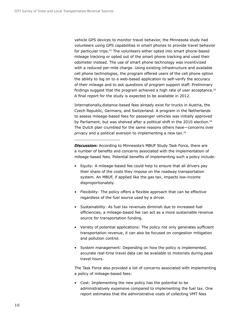vehicle GPS devices to monitor travel behavior, the Minnesota study had volunteers using GPS capabilities in smart phones to provide travel behavior for particular trips.<sup>52</sup> The volunteers either opted into smart phone-based mileage tracking or opted out of the smart phone tracking and used their odometer instead. The use of smart phone technology was incentivized with a reduced per-mile charge. Using existing infrastructure and available cell phone technologies, the program offered users of the cell phone option the ability to log on to a web-based application to self-verify the accuracy of their mileage and to ask questions of program support staff. Preliminary findings suggest that the program achieved a high rate of user acceptance.<sup>53</sup> A final report for the study is expected to be available in 2012.

Internationally,distance-based fees already exist for trucks in Austria, the Czech Republic, Germany, and Switzerland. A program in the Netherlands to assess mileage-based fees for passenger vehicles was initially approved by Parliament, but was shelved after a political shift in the 2010 election.<sup>54</sup> The Dutch plan crumbled for the same reasons others have—concerns over privacy and a political aversion to implementing a new tax.55

**Discussion:** According to Minnesota's MBUF Study Task Force, there are a number of benefits and concerns associated with the implementation of mileage-based fees. Potential benefits of implementing such a policy include:

- Equity: A mileage-based fee could help to ensure that all drivers pay their share of the costs they impose on the roadway transportation system. An MBUF, if applied like the gas tax, impacts low-income disproportionately.
- Flexibility: The policy offers a flexible approach that can be effective regardless of the fuel source used by a driver.
- Sustainability: As fuel tax revenues diminish due to increased fuel efficiencies, a mileage-based fee can act as a more sustainable revenue source for transportation funding.
- Variety of potential applications: The policy not only generates sufficient transportation revenue, it can also be focused on congestion mitigation and pollution control.
- System management: Depending on how the policy is implemented, accurate real-time travel data can be available to motorists during peak travel hours.

The Task Force also provided a list of concerns associated with implementing a policy of mileage-based fees:

• Cost: Implementing the new policy has the potential to be administratively expensive compared to implementing the fuel tax. One report estimates that the administrative costs of collecting VMT fees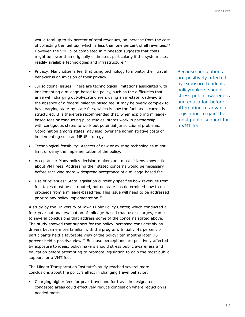would total up to six percent of total revenues, an increase from the cost of collecting the fuel tax, which is less than one percent of all revenues.56 However, the VMT pilot completed in Minnesota suggests that costs might be lower than originally estimated, particularly if the system uses readily available technologies and infrastructure.<sup>57</sup>

- Privacy: Many citizens feel that using technology to monitor their travel behavior is an invasion of their privacy.
- Jurisdictional issues: There are technological limitations associated with implementing a mileage-based fee policy, such as the difficulties that arise with charging out-of-state drivers using an in-state roadway. In the absence of a federal mileage-based fee, it may be overly complex to have varying state-by-state fees, which is how the fuel tax is currently structured. It is therefore recommended that, when exploring mileagebased fees or conducting pilot studies, states work in partnership with contiguous states to work out potential jurisdictional problems. Coordination among states may also lower the administrative costs of implementing such an MBUF strategy.
- Technological feasibility: Aspects of new or existing technologies might limit or delay the implementation of the policy.
- Acceptance: Many policy decision-makers and most citizens know little about VMT fees. Addressing their stated concerns would be necessary before receiving more widespread acceptance of a mileage-based fee.
- Use of revenues: State legislation currently specifies how revenues from fuel taxes must be distributed, but no state has determined how to use proceeds from a mileage-based fee. This issue will need to be addressed prior to any policy implementation.<sup>58</sup>

A study by the University of Iowa Public Policy Center, which conducted a four-year national evaluation of mileage-based road user charges, came to several conclusions that address some of the concerns stated above. The study showed that support for the policy increased considerably as drivers became more familiar with the program. Initially, 42 percent of participants held a favorable view of the policy; ten months later, 70 percent held a positive view.59 Because perceptions are positively affected by exposure to ideas, policymakers should stress public awareness and education before attempting to promote legislation to gain the most public support for a VMT fee.

The Mineta Transportation Institute's study reached several more conclusions about the policy's effect in changing travel behavior:

• Charging higher fees for peak travel and for travel in designated congested areas could effectively reduce congestion where reduction is needed most.

Because perceptions are positively affected by exposure to ideas, policymakers should stress public awareness and education before attempting to advance legislation to gain the most public support for a VMT fee.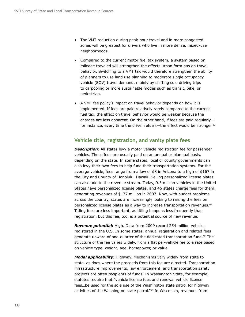- The VMT reduction during peak-hour travel and in more congested zones will be greatest for drivers who live in more dense, mixed-use neighborhoods.
- Compared to the current motor fuel tax system, a system based on mileage traveled will strengthen the effects urban form has on travel behavior. Switching to a VMT tax would therefore strengthen the ability of planners to use land use planning to moderate single occupancy vehicle (SOV) travel demand, mainly by shifting solo driving trips to carpooling or more sustainable modes such as transit, bike, or pedestrian.
- A VMT fee policy's impact on travel behavior depends on how it is implemented. If fees are paid relatively rarely compared to the current fuel tax, the effect on travel behavior would be weaker because the charges are less apparent. On the other hand, if fees are paid regularly for instance, every time the driver refuels—the effect would be stronger. $60$

### **Vehicle title, registration, and vanity plate fees**

**Description:** All states levy a motor vehicle registration fee for passenger vehicles. These fees are usually paid on an annual or biannual basis, depending on the state. In some states, local or county governments can also levy their own fees to help fund their transportation systems. For the average vehicle, fees range from a low of \$8 in Arizona to a high of \$167 in the City and County of Honolulu, Hawaii. Selling personalized license plates can also add to the revenue stream. Today, 9.3 million vehicles in the United States have personalized license plates, and 46 states charge fees for them, generating revenues of \$177 million in 2007. Now, with budget problems across the country, states are increasingly looking to raising the fees on personalized license plates as a way to increase transportation revenues.<sup>61</sup> Titling fees are less important, as titling happens less frequently than registration, but this fee, too, is a potential source of new revenue.

*Revenue potential:* High. Data from 2009 record 254 million vehicles registered in the U.S. In some states, annual registration and related fees generate upward of one-quarter of the dedicated transportation fund.62 The structure of the fee varies widely, from a flat per-vehicle fee to a rate based on vehicle type, weight, age, horsepower, or value.

*Modal applicability:* Highway. Mechanisms vary widely from state to state, as does where the proceeds from this fee are directed. Transportation infrastructure improvements, law enforcement, and transportation safety projects are often recipients of funds. In Washington State, for example, statutes require that "vehicle license fees and renewal vehicle license fees…be used for the sole use of the Washington state patrol for highway activities of the Washington state patrol."63 In Wisconsin, revenues from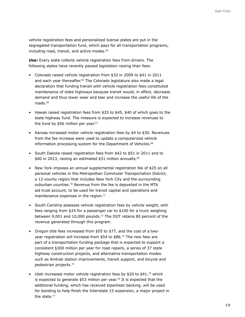vehicle registration fees and personalized license plates are put in the segregated transportation fund, which pays for all transportation programs, including road, transit, and active modes.<sup>64</sup>

**Use:** Every state collects vehicle registration fees from drivers. The following states have recently passed legislation raising their fees:

- Colorado raised vehicle registration from \$32 in 2009 to \$41 in 2011 and each year thereafter.<sup>65</sup> The Colorado legislature also made a legal declaration that funding transit with vehicle registration fees constituted maintenance of state highways because transit would, in effect, decrease demand and thus lower wear and tear and increase the useful life of the roads.66
- Hawaii raised registration fees from \$25 to \$45, \$40 of which goes to the state highway fund. The measure is expected to increase revenues to the fund by  $$56$  million per year.<sup>67</sup>
- Kansas increased motor vehicle registration fees by \$4 to \$30. Revenues from the fee increase were used to update a computerized vehicle information processing system for the Department of Vehicles.<sup>68</sup>
- South Dakota raised registration fees from \$42 to \$51 in 2011 and to \$60 in 2013, raising an estimated \$31 million annually.<sup>69</sup>
- New York imposes an annual supplemental registration fee of \$25 on all personal vehicles in the Metropolitan Commuter Transportation District, a 12-county region that includes New York City and the surrounding suburban counties.<sup>70</sup> Revenue from the fee is deposited in the MTA aid trust account, to be used for transit capital and operations and maintenance expenses in the region.<sup>71</sup>
- South Carolina assesses vehicle registration fees by vehicle weight, with fees ranging from \$24 for a passenger car to \$100 for a truck weighing between 9,001 and 10,000 pounds.<sup>72</sup> The DOT retains 80 percent of the revenue generated through this program.
- Oregon title fees increased from \$55 to \$77, and the cost of a twoyear registration will increase from \$54 to \$86.73 The new fees are part of a transportation funding package that is expected to support a consistent \$300 million per year for road repairs, a series of 37 state highway construction projects, and alternative transportation modes such as Amtrak station improvements, transit support, and bicycle and pedestrian projects.74
- Utah increased motor vehicle registration fees by \$20 to \$41,75 which is expected to generate \$53 million per year.<sup>76</sup> It is expected that the additional funding, which has received bipartisan backing, will be used for bonding to help finish the Interstate 15 expansion, a major project in the state.77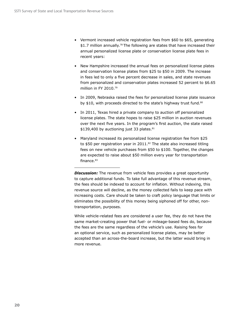- Vermont increased vehicle registration fees from \$60 to \$65, generating  $$1.7$  million annually.<sup>78</sup> The following are states that have increased their annual personalized license plate or conservation license plate fees in recent years:
- New Hampshire increased the annual fees on personalized license plates and conservation license plates from \$25 to \$50 in 2009. The increase in fees led to only a five percent decrease in sales, and state revenues from personalized and conservation plates increased 52 percent to \$6.65 million in FY 2010.79
- In 2009, Nebraska raised the fees for personalized license plate issuance by \$10, with proceeds directed to the state's highway trust fund.<sup>80</sup>
- In 2011, Texas hired a private company to auction off personalized license plates. The state hopes to raise \$25 million in auction revenues over the next five years. In the program's first auction, the state raised  $$139,400$  by auctioning just 33 plates. $81$
- Maryland increased its personalized license registration fee from \$25 to \$50 per registration year in 2011.<sup>82</sup> The state also increased titling fees on new vehicle purchases from \$50 to \$100. Together, the changes are expected to raise about \$50 million every year for transportation finance.<sup>83</sup>

**Discussion:** The revenue from vehicle fees provides a great opportunity to capture additional funds. To take full advantage of this revenue stream, the fees should be indexed to account for inflation. Without indexing, this revenue source will decline, as the money collected fails to keep pace with increasing costs. Care should be taken to craft policy language that limits or eliminates the possibility of this money being siphoned off for other, nontransportation, purposes.

While vehicle-related fees are considered a user fee, they do not have the same market-creating power that fuel- or mileage-based fees do, because the fees are the same regardless of the vehicle's use. Raising fees for an optional service, such as personalized license plates, may be better accepted than an across-the-board increase, but the latter would bring in more revenue.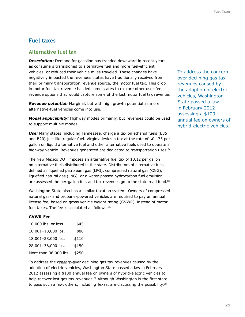## **Fuel taxes**

#### **Alternative fuel tax**

**Description:** Demand for gasoline has trended downward in recent years as consumers transitioned to alternative fuel and more fuel-efficient vehicles, or reduced their vehicle miles traveled. These changes have negatively impacted the revenues states have traditionally received from their primary transportation revenue source, the motor fuel tax. This drop in motor fuel tax revenue has led some states to explore other user-fee revenue options that would capture some of the lost motor fuel tax revenue.

*Revenue potential:* Marginal, but with high growth potential as more alternative-fuel vehicles come into use.

*Modal applicability:* Highway modes primarily, but revenues could be used to support multiple modes.

**Use:** Many states, including Tennessee, charge a tax on ethanol fuels (E85 and B20) just like regular fuel. Virginia levies a tax at the rate of \$0.175 per gallon on liquid alternative fuel and other alternative fuels used to operate a highway vehicle. Revenues generated are dedicated to transportation uses.<sup>84</sup>

The New Mexico DOT imposes an alternative fuel tax of \$0.12 per gallon on alternative fuels distributed in the state. Distributors of alternative fuel, defined as liquefied petroleum gas (LPG), compressed natural gas (CNG), liquefied natural gas (LNG), or a water-phased hydrocarbon fuel emulsion, are assessed the per-gallon fee, and tax revenues go to the state road fund.<sup>85</sup>

Washington State also has a similar taxation system. Owners of compressed natural gas- and propane-powered vehicles are required to pay an annual license fee, based on gross vehicle weight rating (GVWR), instead of motor fuel taxes. The fee is calculated as follows: $86$ 

#### **GVWR Fee**

| 10,000 lbs. or less   | \$45  |
|-----------------------|-------|
| 10,001-18,000 lbs.    | \$80  |
| 18,001-28,000 lbs.    | \$110 |
| 28,001-36,000 lbs.    | \$150 |
| More than 36,000 lbs. | \$250 |

To address the condera cover declining gas tax revenues caused by the adoption of electric vehicles, Washington State passed a law in February 2012 assessing a \$100 annual fee on owners of hybrid-electric vehicles to help recover lost gas tax revenues.<sup>87</sup> Although Washington is the first state to pass such a law, others, including Texas, are discussing the possibility.<sup>88</sup>

To address the concern over declining gas tax revenues caused by the adoption of electric vehicles, Washington State passed a law in February 2012 assessing a \$100 annual fee on owners of hybrid-electric vehicles.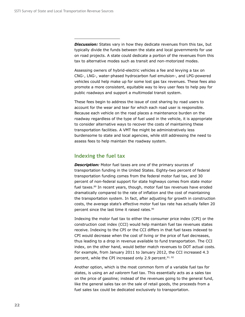**Discussion:** States vary in how they dedicate revenues from this tax, but typically divide the funds between the state and local governments for use on road projects. A state could dedicate a portion of the revenues from this tax to alternative modes such as transit and non-motorized modes.

Assessing owners of hybrid-electric vehicles a fee and levying a tax on CNG-, LNG-, water-phased hydrocarbon fuel emulsion-, and LPG-powered vehicles could help make up for some lost gas tax revenues. These fees also promote a more consistent, equitable way to levy user fees to help pay for public roadways and support a multimodal transit system.

These fees begin to address the issue of cost sharing by road users to account for the wear and tear for which each road user is responsible. Because each vehicle on the road places a maintenance burden on the roadway regardless of the type of fuel used in the vehicle, it is appropriate to consider alternative ways to recover the costs of maintaining these transportation facilities. A VMT fee might be administratively less burdensome to state and local agencies, while still addressing the need to assess fees to help maintain the roadway system.

#### **Indexing the fuel tax**

*Description:* Motor fuel taxes are one of the primary sources of transportation funding in the United States. Eighty-two percent of federal transportation funding comes from the federal motor fuel tax, and 30 percent of non-federal support for state highways comes from state motor fuel taxes.<sup>89</sup> In recent years, though, motor fuel tax revenues have eroded dramatically compared to the rate of inflation and the cost of maintaining the transportation system. In fact, after adjusting for growth in construction costs, the average state's effective motor fuel tax rate has actually fallen 20 percent since the last time it raised rates.<sup>90</sup>

Indexing the motor fuel tax to either the consumer price index (CPI) or the construction cost index (CCI) would help maintain fuel tax revenues states receive. Indexing to the CPI or the CCI differs in that fuel taxes indexed to CPI would decrease when the cost of living or the price of fuel decreases, thus leading to a drop in revenue available to fund transportation. The CCI index, on the other hand, would better match revenues to DOT actual costs. For example, from January 2011 to January 2012, the CCI increased 4.3 percent, while the CPI increased only 2.9 percent.<sup>91, 92</sup>

Another option, which is the most common form of a variable fuel tax for states, is using an *ad valorem* fuel tax. This essentially acts as a sales tax on the price of gasoline; instead of the revenues going to the general fund, like the general sales tax on the sale of retail goods, the proceeds from a fuel sales tax could be dedicated exclusively to transportation.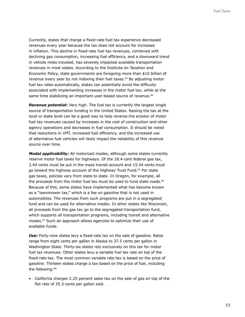Currently, states that charge a fixed-rate fuel tax experience decreased revenues every year because the tax does not account for increases in inflation. This decline in fixed-rate fuel tax revenues, combined with declining gas consumption, increasing fuel efficiency, and a downward trend in vehicle miles traveled, has severely impacted available transportation revenues in most states. According to the Institute on Taxation and Economic Policy, state governments are foregoing more than \$10 billion of revenue every year by not indexing their fuel taxes.<sup>93</sup> By adjusting motor fuel tax rates automatically, states can potentially avoid the difficulty associated with implementing increases in the motor fuel tax, while at the same time stabilizing an important user-based source of revenue.<sup>94</sup>

*Revenue potential:* Very high. The fuel tax is currently the largest single source of transportation funding in the United States. Raising the tax at the local or state level can be a good way to help reverse the erosion of motor fuel tax revenues caused by increases in the cost of construction and other agency operations and decreases in fuel consumption. It should be noted that reductions in VMT, increased fuel efficiency, and the increased use of alternative fuel vehicles will likely impact the reliability of this revenue source over time.

*Modal applicability:* All motorized modes, although some states currently reserve motor fuel taxes for highways. Of the 18.4-cent federal gas tax, 2.44 cents must be put in the mass transit account and 15.44 cents must go toward the highway account of the Highway Trust Fund.<sup>95</sup> For state gas taxes, policies vary from state to state. In Oregon, for example, all the proceeds from the motor fuel tax must be used to fund state roads.<sup>96</sup> Because of this, some states have implemented what has become known as a "lawnmower tax," which is a fee on gasoline that is not used in automobiles. The revenues from such programs are put in a segregated fund and can be used for alternative modes. In other states like Wisconsin, all proceeds from the gas tax go to the segregated transportation fund, which supports all transportation programs, including transit and alternative modes.97 Such an approach allows agencies to optimize their use of available funds.

**Use:** Forty-nine states levy a fixed-rate tax on the sale of gasoline. Rates range from eight cents per gallon in Alaska to 37.5 cents per gallon in Washington State. Thirty-six states rely exclusively on this tax for motor fuel tax revenues. Other states levy a variable fuel tax rate on top of the fixed-rate tax. The most common variable rate tax is based on the price of gasoline. Thirteen states charge a tax based on the price of fuel, including the following:98

• California charges 2.25 percent sales tax on the sale of gas on top of the flat rate of 35.3 cents per gallon sold.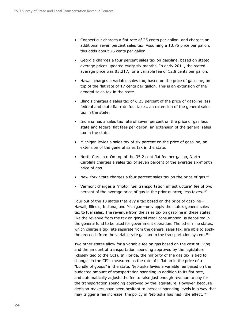- Connecticut charges a flat rate of 25 cents per gallon, and charges an additional seven percent sales tax. Assuming a \$3.75 price per gallon, this adds about 26 cents per gallon.
- Georgia charges a four percent sales tax on gasoline, based on stated average prices updated every six months. In early 2011, the stated average price was \$3.217, for a variable fee of 12.8 cents per gallon.
- Hawaii charges a variable sales tax, based on the price of gasoline, on top of the flat rate of 17 cents per gallon. This is an extension of the general sales tax in the state.
- Illinois charges a sales tax of 6.25 percent of the price of gasoline less federal and state flat rate fuel taxes, an extension of the general sales tax in the state.
- Indiana has a sales tax rate of seven percent on the price of gas less state and federal flat fees per gallon, an extension of the general sales tax in the state.
- Michigan levies a sales tax of six percent on the price of gasoline, an extension of the general sales tax in the state.
- North Carolina: On top of the 35.2 cent flat fee per gallon, North Carolina charges a sales tax of seven percent of the average six-month price of gas.
- New York State charges a four percent sales tax on the price of gas.<sup>99</sup>
- Vermont charges a "motor fuel transportation infrastructure" fee of two percent of the average price of gas in the prior quarter, less taxes.<sup>100</sup>

Four out of the 13 states that levy a tax based on the price of gasoline— Hawaii, Illinois, Indiana, and Michigan—only apply the state's general sales tax to fuel sales. The revenue from the sales tax on gasoline in these states, like the revenue from the tax on general retail consumption, is deposited in the general fund to be used for government operation. The other nine states, which charge a tax rate separate from the general sales tax, are able to apply the proceeds from the variable rate gas tax to the transportation system.<sup>101</sup>

Two other states allow for a variable fee on gas based on the cost of living and the amount of transportation spending approved by the legislature (closely tied to the CCI). In Florida, the majority of the gas tax is tied to changes in the CPI—measured as the rate of inflation in the price of a "bundle of goods" in the state. Nebraska levies a variable fee based on the budgeted amount of transportation spending in addition to its flat rate, and automatically adjusts the fee to raise just enough revenue to pay for the transportation spending approved by the legislature. However, because decision-makers have been hesitant to increase spending levels in a way that may trigger a fee increase, the policy in Nebraska has had little effect.<sup>102</sup>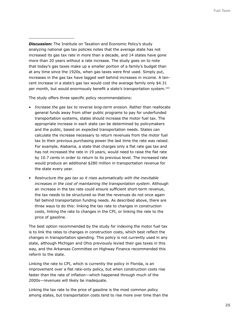*Discussion:* The Institute on Taxation and Economic Policy's study analyzing national gas tax policies notes that the average state has not increased its gas tax rate in more than a decade, and 14 states have gone more than 20 years without a rate increase. The study goes on to note that today's gas taxes make up a smaller portion of a family's budget than at any time since the 1920s, when gas taxes were first used. Simply put, increases in the gas tax have lagged well behind increases in income. A tencent increase in a state's gas tax would cost the average family only \$4.31 per month, but would enormously benefit a state's transportation system.<sup>103</sup>

The study offers three specific policy recommendations:

- *Increase the gas tax to reverse long-term erosion*. Rather than reallocate general funds away from other public programs to pay for underfunded transportation systems, states should increase the motor fuel tax. The appropriate increase in each state can be determined by policymakers and the public, based on expected transportation needs. States can calculate the increase necessary to return revenues from the motor fuel tax to their previous purchasing power the last time the rate was raised. For example, Alabama, a state that charges only a flat rate gas tax and has not increased the rate in 19 years, would need to raise the flat rate by 10.7 cents in order to return to its previous level. The increased rate would produce an additional \$280 million in transportation revenue for the state every year.
- *Restructure the gas tax so it rises automatically with the inevitable increases in the cost of maintaining the transportation system*. Although an increase in the tax rate could ensure sufficient short-term revenue, the tax needs to be structured so that the revenues do not once again fall behind transportation funding needs. As described above, there are three ways to do this: linking the tax rate to changes in construction costs, linking the rate to changes in the CPI, or linking the rate to the price of gasoline.

The best option recommended by the study for indexing the motor fuel tax is to link the rates to changes in construction costs, which best reflect the changes in transportation spending. This policy is not currently used in any state, although Michigan and Ohio previously levied their gas taxes in this way, and the Arkansas Committee on Highway Finance recommended this reform to the state.

Linking the rate to CPI, which is currently the policy in Florida, is an improvement over a flat rate-only policy, but when construction costs rise faster than the rate of inflation—which happened through much of the 2000s—revenues will likely be inadequate.

Linking the tax rate to the price of gasoline is the most common policy among states, but transportation costs tend to rise more over time than the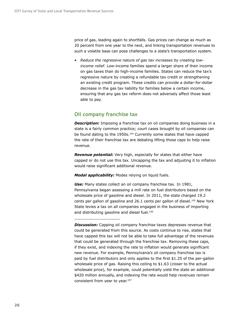price of gas, leading again to shortfalls. Gas prices can change as much as 20 percent from one year to the next, and linking transportation revenues to such a volatile base can pose challenges to a state's transportation system.

• *Reduce the regressive nature of gas tax increases by creating lowincome relief*. Low-income families spend a larger share of their income on gas taxes than do high-income families. States can reduce the tax's regressive nature by creating a refundable tax credit or strengthening an existing credit program. These credits can provide a dollar-for-dollar decrease in the gas tax liability for families below a certain income, ensuring that any gas tax reform does not adversely affect those least able to pay.

### **Oil company franchise tax**

*Description:* Imposing a franchise tax on oil companies doing business in a state is a fairly common practice; court cases brought by oil companies can be found dating to the 1950s.<sup>104</sup> Currently some states that have capped the rate of their franchise tax are debating lifting those caps to help raise revenue.

*Revenue potential:* Very high, especially for states that either have capped or do not use this tax. Uncapping the tax and adjusting it to inflation would raise significant additional revenue.

*Modal applicability:* Modes relying on liquid fuels.

*Use:* Many states collect an oil company franchise tax. In 1981, Pennsylvania began assessing a mill rate on fuel distributors based on the wholesale price of gasoline and diesel. In 2011, the state charged 19.2 cents per gallon of gasoline and  $26.1$  cents per gallon of diesel.<sup>105</sup> New York State levies a tax on all companies engaged in the business of importing and distributing gasoline and diesel fuel.<sup>106</sup>

**Discussion:** Capping oil company franchise taxes depresses revenue that could be generated from this source. As costs continue to rise, states that have capped this tax will not be able to take full advantage of the revenues that could be generated through the franchise tax. Removing these caps, if they exist, and indexing the rate to inflation would generate significant new revenue. For example, Pennsylvania's oil company franchise tax is paid by fuel distributors and only applies to the first \$1.25 of the per-gallon wholesale price of gas. Raising this ceiling to \$1.63 (closer to the actual wholesale price), for example, could potentially yield the state an additional \$420 million annually, and indexing the rate would help revenues remain consistent from year to year.107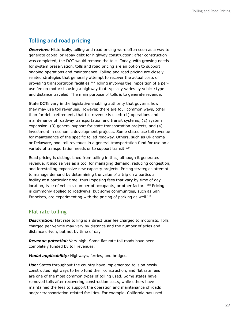## **Tolling and road pricing**

**Overview:** Historically, tolling and road pricing were often seen as a way to generate capital or repay debt for highway construction; after construction was completed, the DOT would remove the tolls. Today, with growing needs for system preservation, tolls and road pricing are an option to support ongoing operations and maintenance. Tolling and road pricing are closely related strategies that generally attempt to recover the actual costs of providing transportation facilities.108 Tolling involves the imposition of a peruse fee on motorists using a highway that typically varies by vehicle type and distance traveled. The main purpose of tolls is to generate revenue.

State DOTs vary in the legislative enabling authority that governs how they may use toll revenues. However, there are four common ways, other than for debt retirement, that toll revenue is used: (1) operations and maintenance of roadway transportation and transit systems, (2) system expansion, (3) general support for state transportation projects, and (4) investment in economic development projects. Some states use toll revenue for maintenance of the specific tolled roadway. Others, such as Oklahoma or Delaware, pool toll revenues in a general transportation fund for use on a variety of transportation needs or to support transit.<sup>109</sup>

Road pricing is distinguished from tolling in that, although it generates revenue, it also serves as a tool for managing demand, reducing congestion, and forestalling expensive new capacity projects. Pricing strategies attempt to manage demand by determining the value of a trip on a particular facility at a particular time, thus imposing fees that vary by time of day, location, type of vehicle, number of occupants, or other factors.110 Pricing is commonly applied to roadways, but some communities, such as San Francisco, are experimenting with the pricing of parking as well. $111$ 

#### **Flat rate tolling**

**Description:** Flat rate tolling is a direct user fee charged to motorists. Tolls charged per vehicle may vary by distance and the number of axles and distance driven, but not by time of day.

*Revenue potential:* Very high. Some flat-rate toll roads have been completely funded by toll revenues.

*Modal applicability:* Highways, ferries, and bridges.

*Use:* States throughout the country have implemented tolls on newly constructed highways to help fund their construction, and flat rate fees are one of the most common types of tolling used. Some states have removed tolls after recovering construction costs, while others have maintained the fees to support the operation and maintenance of roads and/or transportation-related facilities. For example, California has used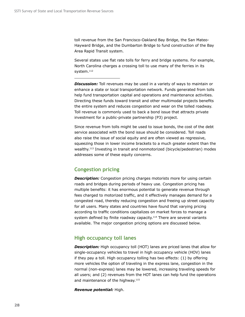toll revenue from the San Francisco-Oakland Bay Bridge, the San Mateo-Hayward Bridge, and the Dumbarton Bridge to fund construction of the Bay Area Rapid Transit system.

Several states use flat rate tolls for ferry and bridge systems. For example, North Carolina charges a crossing toll to use many of the ferries in its system.<sup>112</sup>

**Discussion:** Toll revenues may be used in a variety of ways to maintain or enhance a state or local transportation network. Funds generated from tolls help fund transportation capital and operations and maintenance activities. Directing these funds toward transit and other multimodal projects benefits the entire system and reduces congestion and wear on the tolled roadway. Toll revenue is commonly used to back a bond issue that attracts private investment for a public-private partnership (P3) project.

Since revenue from tolls might be used to issue bonds, the cost of the debt service associated with the bond issue should be considered. Toll roads also raise the issue of social equity and are often viewed as regressive, squeezing those in lower income brackets to a much greater extent than the wealthy.113 Investing in transit and nonmotorized (bicycle/pedestrian) modes addresses some of these equity concerns.

#### **Congestion pricing**

**Description:** Congestion pricing charges motorists more for using certain roads and bridges during periods of heavy use. Congestion pricing has multiple benefits: it has enormous potential to generate revenue through fees charged to motorized traffic, and it effectively manages demand for a congested road, thereby reducing congestion and freeing up street capacity for all users. Many states and countries have found that varying pricing according to traffic conditions capitalizes on market forces to manage a system defined by finite roadway capacity.<sup>114</sup> There are several variants available. The major congestion pricing options are discussed below.

#### **High occupancy toll lanes**

**Description:** High occupancy toll (HOT) lanes are priced lanes that allow for single-occupancy vehicles to travel in high occupancy vehicle (HOV) lanes if they pay a toll. High occupancy tolling has two effects: (1) by offering more vehicles the option of traveling in the express lane, congestion in the normal (non-express) lanes may be lowered, increasing traveling speeds for all users; and (2) revenues from the HOT lanes can help fund the operations and maintenance of the highway.<sup>115</sup>

*Revenue potential:* High.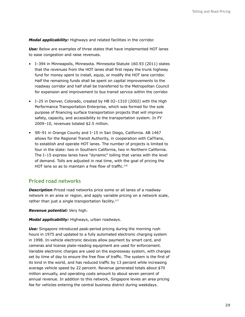*Modal applicability:* Highways and related facilities in the corridor.

*Use:* Below are examples of three states that have implemented HOT lanes to ease congestion and raise revenues.

- I–394 in Minneapolis, Minnesota. Minnesota Statute 160.93 (2011) states that the revenues from the HOT lanes shall first repay the trunk highway fund for money spent to install, equip, or modify the HOT lane corridor. Half the remaining funds shall be spent on capital improvements to the roadway corridor and half shall be transferred to the Metropolitan Council for expansion and improvement to bus transit service within the corridor.
- I–25 in Denver, Colorado, created by HB 02–1310 (2002) with the High Performance Transportation Enterprise, which was formed for the sole purpose of financing surface transportation projects that will improve safety, capacity, and accessibility to the transportation system. In FY 2009–10, revenues totaled \$2.5 million.
- SR–91 in Orange County and I–15 in San Diego, California. AB 1467 allows for the Regional Transit Authority, in cooperation with CalTrans, to establish and operate HOT lanes. The number of projects is limited to four in the state: two in Southern California, two in Northern California. The I–15 express lanes have "dynamic" tolling that varies with the level of demand. Tolls are adjusted in real time, with the goal of pricing the HOT lane so as to maintain a free flow of traffic.<sup>116</sup>

#### **Priced road networks**

*Description*:Priced road networks price some or all lanes of a roadway network in an area or region, and apply variable pricing on a network scale, rather than just a single transportation facility. $117$ 

*Revenue potential:* Very high.

*Modal applicability:* Highways, urban roadways.

**Use:** Singapore introduced peak-period pricing during the morning rush hours in 1975 and updated to a fully automated electronic charging system in 1998. In-vehicle electronic devices allow payment by smart card, and cameras and license plate-reading equipment are used for enforcement. Variable electronic charges are used on the expressway system, with charges set by time of day to ensure the free flow of traffic. The system is the first of its kind in the world, and has reduced traffic by 13 percent while increasing average vehicle speed by 22 percent. Revenue generated totals about \$70 million annually, and operating costs amount to about seven percent of annual revenue. In addition to this network, Singapore levies an area pricing fee for vehicles entering the central business district during weekdays.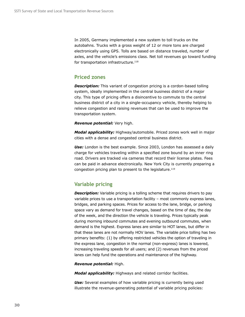In 2005, Germany implemented a new system to toll trucks on the autobahns. Trucks with a gross weight of 12 or more tons are charged electronically using GPS. Tolls are based on distance traveled, number of axles, and the vehicle's emissions class. Net toll revenues go toward funding for transportation infrastructure.<sup>118</sup>

#### **Priced zones**

**Description:** This variant of congestion pricing is a cordon-based tolling system, ideally implemented in the central business district of a major city. This type of pricing offers a disincentive to commute to the central business district of a city in a single-occupancy vehicle, thereby helping to relieve congestion and raising revenues that can be used to improve the transportation system.

*Revenue potential:* Very high.

*Modal applicability:* Highway/automobile. Priced zones work well in major cities with a dense and congested central business district.

Use: London is the best example. Since 2003, London has assessed a daily charge for vehicles traveling within a specified zone bound by an inner ring road. Drivers are tracked via cameras that record their license plates. Fees can be paid in advance electronically. New York City is currently preparing a congestion pricing plan to present to the legislature.<sup>119</sup>

## **Variable pricing**

**Description:** Variable pricing is a tolling scheme that requires drivers to pay variable prices to use a transportation facility – most commonly express lanes, bridges, and parking spaces. Prices for access to the lane, bridge, or parking space vary as demand for travel changes, based on the time of day, the day of the week, and the direction the vehicle is traveling. Prices typically peak during morning inbound commutes and evening outbound commutes, when demand is the highest. Express lanes are similar to HOT lanes, but differ in that these lanes are not normally HOV lanes. The variable price tolling has two primary benefits: (1) by offering restricted vehicles the option of traveling in the express lane, congestion in the normal (non-express) lanes is lowered, increasing traveling speeds for all users; and (2) revenues from the priced lanes can help fund the operations and maintenance of the highway.

#### *Revenue potential:* High.

*Modal applicability:* Highways and related corridor facilities.

**Use:** Several examples of how variable pricing is currently being used illustrate the revenue-generating potential of variable pricing policies: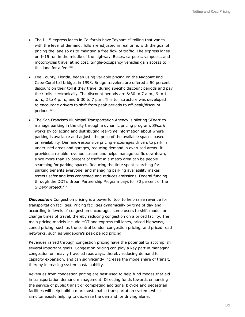- The I–15 express lanes in California have "dynamic" tolling that varies with the level of demand. Tolls are adjusted in real time, with the goal of pricing the lane so as to maintain a free flow of traffic. The express lanes on I–15 run in the middle of the highway. Buses, carpools, vanpools, and motorcycles travel at no cost. Single-occupancy vehicles gain access to this lane for a fee. $120$
- Lee County, Florida, began using variable pricing on the Midpoint and Cape Coral toll bridges in 1998. Bridge travelers are offered a 50 percent discount on their toll if they travel during specific discount periods and pay their tolls electronically. The discount periods are 6:30 to 7 a.m., 9 to 11 a.m., 2 to 4 p.m., and 6:30 to 7 p.m. This toll structure was developed to encourage drivers to shift from peak periods to off-peak/discount periods.121
- The San Francisco Municipal Transportation Agency is piloting SF*park* to manage parking in the city through a dynamic pricing program. SF*park* works by collecting and distributing real-time information about where parking is available and adjusts the price of the available spaces based on availability. Demand-responsive pricing encourages drivers to park in underused areas and garages, reducing demand in overused areas. It provides a reliable revenue stream and helps manage traffic downtown, since more than 15 percent of traffic in a metro area can be people searching for parking spaces. Reducing the time spent searching for parking benefits everyone, and managing parking availability makes streets safer and less congested and reduces emissions. Federal funding through the DOT's Urban Partnership Program pays for 80 percent of the SFpark project.<sup>122</sup>

**Discussion:** Congestion pricing is a powerful tool to help raise revenue for transportation facilities. Pricing facilities dynamically by time of day and according to levels of congestion encourages some users to shift modes or change times of travel, thereby reducing congestion on a priced facility. The main pricing models include HOT and express toll lanes, priced highways, zoned pricing, such as the central London congestion pricing, and priced road networks, such as Singapore's peak period pricing.

Revenues raised through congestion pricing have the potential to accomplish several important goals. Congestion pricing can play a key part in managing congestion on heavily traveled roadways, thereby reducing demand for capacity expansion, and can significantly increase the mode share of transit, thereby increasing system sustainability.

Revenues from congestion pricing are best used to help fund modes that aid in transportation demand management. Directing funds towards enhancing the service of public transit or completing additional bicycle and pedestrian facilities will help build a more sustainable transportation system, while simultaneously helping to decrease the demand for driving alone.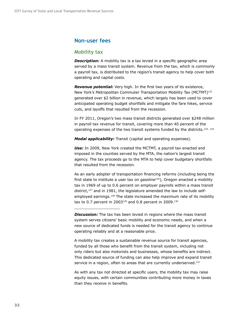### **Non-user fees**

#### **Mobility tax**

**Description:** A mobility tax is a tax levied in a specific geographic area served by a mass transit system. Revenue from the tax, which is commonly a payroll tax, is distributed to the region's transit agency to help cover both operating and capital costs.

*Revenue potential:* Very high. In the first two years of its existence, New York's Metropolitan Commuter Transportation Mobility Tax (MCTMT)123 generated over \$2 billion in revenue, which largely has been used to cover anticipated operating budget shortfalls and mitigate the fare hikes, service cuts, and layoffs that resulted from the recession.

In FY 2011, Oregon's two mass transit districts generated over \$248 million in payroll tax revenue for transit, covering more than 40 percent of the operating expenses of the two transit systems funded by the districts.<sup>124, 125</sup>

*Modal applicability:* Transit (capital and operating expenses).

*Use:* In 2009, New York created the MCTMT, a payroll tax enacted and imposed in the counties served by the MTA, the nation's largest transit agency. The tax proceeds go to the MTA to help cover budgetary shortfalls that resulted from the recession.

As an early adopter of transportation financing reforms (including being the first state to institute a user tax on gasoline<sup>126</sup>), Oregon enacted a mobility tax in 1969 of up to 0.6 percent on employer payrolls within a mass transit district,<sup>127</sup> and in 1981, the legislature amended the law to include selfemployed earnings.<sup>128</sup> The state increased the maximum rate of its mobility tax to 0.7 percent in 2003<sup>129</sup> and 0.8 percent in 2009.<sup>130</sup>

A mobility tax creates a sustainable revenue source for transit agencies, funded by all those who benefit from the transit system, including not only riders but also motorists and businesses, whose benefits are indirect. This dedicated source of funding can also help improve and expand transit service in a region, often to areas that are currently underserved.<sup>131</sup>

As with any tax not directed at specific users, the mobility tax may raise equity issues, with certain communities contributing more money in taxes than they receive in benefits.

**Discussion:** The tax has been levied in regions where the mass transit system serves citizens' basic mobility and economic needs, and when a new source of dedicated funds is needed for the transit agency to continue operating reliably and at a reasonable price.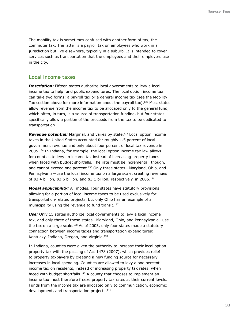The mobility tax is sometimes confused with another form of tax, the commuter tax. The latter is a payroll tax on employees who work in a jurisdiction but live elsewhere, typically in a suburb. It is intended to cover services such as transportation that the employees and their employers use in the city.

#### **Local Income taxes**

**Description:** Fifteen states authorize local governments to levy a local income tax to help fund public expenditures. The local option income tax can take two forms: a payroll tax or a general income tax (see the Mobility Tax section above for more information about the payroll tax).<sup>132</sup> Most states allow revenue from the income tax to be allocated only to the general fund, which often, in turn, is a source of transportation funding, but four states specifically allow a portion of the proceeds from the tax to be dedicated to transportation.

*Revenue potential:* Marginal, and varies by state.133 Local option income taxes in the United States accounted for roughly 1.5 percent of local government revenue and only about four percent of local tax revenue in 2005.134 In Indiana, for example, the local option income tax law allows for counties to levy an income tax instead of increasing property taxes when faced with budget shortfalls. The rate must be incremental, though, and cannot exceed one percent.<sup>135</sup> Only three states—Maryland, Ohio, and Pennsylvania—use the local income tax on a large scale, creating revenues of \$3.4 billion, \$3.6 billion, and \$3.1 billion, respectively, in 2005.136

*Modal applicability:* All modes. Four states have statutory provisions allowing for a portion of local income taxes to be used exclusively for transportation-related projects, but only Ohio has an example of a municipality using the revenue to fund transit.<sup>137</sup>

*Use:* Only 15 states authorize local governments to levy a local income tax, and only three of these states—Maryland, Ohio, and Pennsylvania—use the tax on a large scale.138 As of 2003, only four states made a statutory connection between income taxes and transportation expenditures: Kentucky, Indiana, Oregon, and Virginia.<sup>139</sup>

In Indiana, counties were given the authority to increase their local option property tax with the passing of Act 1478 (2007), which provides relief to property taxpayers by creating a new funding source for necessary increases in local spending. Counties are allowed to levy a one percent income tax on residents, instead of increasing property tax rates, when faced with budget shortfalls.<sup>140</sup> A county that chooses to implement an income tax must therefore freeze property tax rates at their current levels. Funds from the income tax are allocated only to communication, economic development, and transportation projects.<sup>141</sup>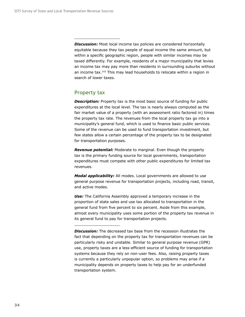**Discussion:** Most local income tax policies are considered horizontally equitable because they tax people of equal income the same amount, but within a specific geographic region, people with similar incomes may be taxed differently. For example, residents of a major municipality that levies an income tax may pay more than residents in surrounding suburbs without an income tax.142 This may lead households to relocate within a region in search of lower taxes.

## **Property tax**

**Description:** Property tax is the most basic source of funding for public expenditures at the local level. The tax is nearly always computed as the fair market value of a property (with an assessment ratio factored in) times the property tax rate. The revenues from the local property tax go into a municipality's general fund, which is used to finance basic public services. Some of the revenue can be used to fund transportation investment, but few states allow a certain percentage of the property tax to be designated for transportation purposes.

*Revenue potential:* Moderate to marginal. Even though the property tax is the primary funding source for local governments, transportation expenditures must compete with other public expenditures for limited tax revenues.

*Modal applicability:* All modes. Local governments are allowed to use general purpose revenue for transportation projects, including road, transit, and active modes.

**Use:** The California Assembly approved a temporary increase in the proportion of state sales and use tax allocated to transportation in the general fund from five percent to six percent. Aside from this example, almost every municipality uses some portion of the property tax revenue in its general fund to pay for transportation projects.

*Discussion:* The decreased tax base from the recession illustrates the fact that depending on the property tax for transportation revenues can be particularly risky and unstable. Similar to general purpose revenue (GPR) use, property taxes are a less-efficient source of funding for transportation systems because they rely on non-user fees. Also, raising property taxes is currently a particularly unpopular option, so problems may arise if a municipality depends on property taxes to help pay for an underfunded transportation system.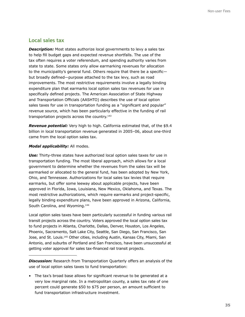## **Local sales tax**

**Description:** Most states authorize local governments to levy a sales tax to help fill budget gaps and expected revenue shortfalls. The use of the tax often requires a voter referendum, and spending authority varies from state to state. Some states only allow earmarking revenues for allocation to the municipality's general fund. Others require that there be a specific but broadly defined—purpose attached to the tax levy, such as road improvements. The most restrictive requirements involve a legally binding expenditure plan that earmarks local option sales tax revenues for use in specifically defined projects. The American Association of State Highway and Transportation Officials (AASHTO) describes the use of local option sales taxes for use in transportation funding as a "significant and popular" revenue source, which has been particularly effective in the funding of rail transportation projects across the country.<sup>143</sup>

**Revenue potential:** Very high to high. California estimated that, of the \$9.4 billion in local transportation revenue generated in 2005–06, about one-third came from the local option sales tax.

#### *Modal applicability:* All modes.

*Use:* Thirty-three states have authorized local option sales taxes for use in transportation funding. The most liberal approach, which allows for a local government to determine whether the revenues from the sales tax will be earmarked or allocated to the general fund, has been adopted by New York, Ohio, and Tennessee. Authorizations for local sales tax levies that require earmarks, but offer some leeway about applicable projects, have been approved in Florida, Iowa, Louisiana, New Mexico, Oklahoma, and Texas. The most restrictive authorizations, which require earmarks and project-specific, legally binding expenditure plans, have been approved in Arizona, California, South Carolina, and Wyoming.<sup>144</sup>

Local option sales taxes have been particularly successful in funding various rail transit projects across the country. Voters approved the local option sales tax to fund projects in Atlanta, Charlotte, Dallas, Denver, Houston, Los Angeles, Phoenix, Sacramento, Salt Lake City, Seattle, San Diego, San Francisco, San Jose, and St. Louis.<sup>145</sup> Other cities, including Austin, Kansas City, Miami, San Antonio, and suburbs of Portland and San Francisco, have been unsuccessful at getting voter approval for sales tax-financed rail transit projects.

*Discussion:* Research from Transportation Quarterly offers an analysis of the use of local option sales taxes to fund transportation:

• The tax's broad base allows for significant revenue to be generated at a very low marginal rate. In a metropolitan county, a sales tax rate of one percent could generate \$50 to \$75 per person, an amount sufficient to fund transportation infrastructure investment.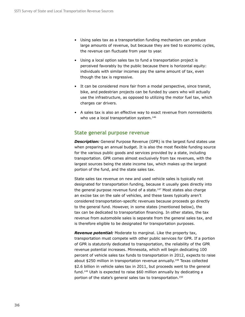- Using sales tax as a transportation funding mechanism can produce large amounts of revenue, but because they are tied to economic cycles, the revenue can fluctuate from year to year.
- Using a local option sales tax to fund a transportation project is perceived favorably by the public because there is horizontal equity: individuals with similar incomes pay the same amount of tax, even though the tax is regressive.
- It can be considered more fair from a modal perspective, since transit, bike, and pedestrian projects can be funded by users who will actually use the infrastructure, as opposed to utilizing the motor fuel tax, which charges car drivers.
- A sales tax is also an effective way to exact revenue from nonresidents who use a local transportation system.<sup>146</sup>

## **State general purpose revenue**

**Description:** General Purpose Revenue (GPR) is the largest fund states use when preparing an annual budget. It is also the most flexible funding source for the various public goods and services provided by a state, including transportation. GPR comes almost exclusively from tax revenues, with the largest sources being the state income tax, which makes up the largest portion of the fund, and the state sales tax.

State sales tax revenue on new and used vehicle sales is typically not designated for transportation funding, because it usually goes directly into the general purpose revenue fund of a state. $147$  Most states also charge an excise tax on the sale of vehicles, and these taxes typically aren't considered transportation-specific revenues because proceeds go directly to the general fund. However, in some states (mentioned below), the tax can be dedicated to transportation financing. In other states, the tax revenue from automobile sales is separate from the general sales tax, and is therefore eligible to be designated for transportation purposes.

*Revenue potential:* Moderate to marginal. Like the property tax, transportation must compete with other public services for GPR. If a portion of GPR is statutorily dedicated to transportation, the reliability of the GPR revenue potential increases. Minnesota, which will begin dedicating 100 percent of vehicle sales tax funds to transportation in 2012, expects to raise about \$250 million in transportation revenue annually.148 Texas collected \$2.6 billion in vehicle sales tax in 2011, but proceeds went to the general fund.149 Utah is expected to raise \$60 million annually by dedicating a portion of the state's general sales tax to transportation.150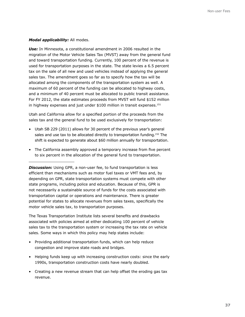#### *Modal applicability:* All modes.

*Use:* In Minnesota, a constitutional amendment in 2006 resulted in the migration of the Motor Vehicle Sales Tax (MVST) away from the general fund and toward transportation funding. Currently, 100 percent of the revenue is used for transportation purposes in the state. The state levies a 6.5 percent tax on the sale of all new and used vehicles instead of applying the general sales tax. The amendment goes so far as to specify how the tax will be allocated among the components of the transportation system as well. A maximum of 60 percent of the funding can be allocated to highway costs, and a minimum of 40 percent must be allocated to public transit assistance. For FY 2012, the state estimates proceeds from MVST will fund \$152 million in highway expenses and just under \$100 million in transit expenses.<sup>151</sup>

Utah and California allow for a specified portion of the proceeds from the sales tax and the general fund to be used exclusively for transportation:

- Utah SB 229 (2011) allows for 30 percent of the previous year's general sales and use tax to be allocated directly to transportation funding.<sup>152</sup> The shift is expected to generate about \$60 million annually for transportation.
- The California assembly approved a temporary increase from five percent to six percent in the allocation of the general fund to transportation.

The Texas Transportation Institute lists several benefits and drawbacks associated with policies aimed at either dedicating 100 percent of vehicle sales tax to the transportation system or increasing the tax rate on vehicle sales. Some ways in which this policy may help states include:

- Providing additional transportation funds, which can help reduce congestion and improve state roads and bridges.
- Helping funds keep up with increasing construction costs: since the early 1990s, transportation construction costs have nearly doubled.
- Creating a new revenue stream that can help offset the eroding gas tax revenue.

**Discussion:** Using GPR, a non-user fee, to fund transportation is less efficient than mechanisms such as motor fuel taxes or VMT fees and, by depending on GPR, state transportation systems must compete with other state programs, including police and education. Because of this, GPR is not necessarily a sustainable source of funds for the costs associated with transportation capital or operations and maintenance. There is greater potential for states to allocate revenues from sales taxes, specifically the motor vehicle sales tax, to transportation purposes.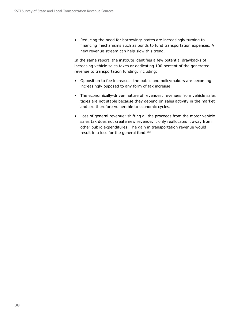• Reducing the need for borrowing: states are increasingly turning to financing mechanisms such as bonds to fund transportation expenses. A new revenue stream can help slow this trend.

In the same report, the institute identifies a few potential drawbacks of increasing vehicle sales taxes or dedicating 100 percent of the generated revenue to transportation funding, including:

- Opposition to fee increases: the public and policymakers are becoming increasingly opposed to any form of tax increase.
- The economically-driven nature of revenues: revenues from vehicle sales taxes are not stable because they depend on sales activity in the market and are therefore vulnerable to economic cycles.
- Loss of general revenue: shifting all the proceeds from the motor vehicle sales tax does not create new revenue; it only reallocates it away from other public expenditures. The gain in transportation revenue would result in a loss for the general fund.<sup>153</sup>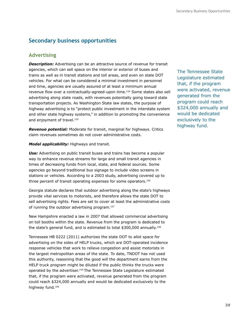# **Secondary business opportunities**

## **Advertising**

**Description:** Advertising can be an attractive source of revenue for transit agencies, which can sell space on the interior or exterior of buses and trains as well as in transit stations and toll areas, and even on state DOT vehicles. For what can be considered a minimal investment in personnel and time, agencies are usually assured of at least a minimum annual revenue flow over a contractually-agreed-upon time.<sup>154</sup> Some states also sell advertising along state roads, with revenues potentially going toward state transportation projects. As Washington State law states, the purpose of highway advertising is to "protect public investment in the interstate system and other state highway systems," in addition to promoting the convenience and enjoyment of travel.<sup>155</sup>

*Revenue potential:* Moderate for transit, marginal for highways. Critics claim revenues sometimes do not cover administrative costs.

*Modal applicability:* Highways and transit.

*Use:* Advertising on public transit buses and trains has become a popular way to enhance revenue streams for large and small transit agencies in times of decreasing funds from local, state, and federal sources. Some agencies go beyond traditional bus signage to include video screens in stations or vehicles. According to a 2003 study, advertising covered up to three percent of transit operating expenses for some operators.156

Georgia statute declares that outdoor advertising along the state's highways provide vital services to motorists, and therefore allows the state DOT to sell advertising rights. Fees are set to cover at least the administrative costs of running the outdoor advertising program.157

New Hampshire enacted a law in 2007 that allowed commercial advertising on toll booths within the state. Revenue from the program is dedicated to the state's general fund, and is estimated to total \$300,000 annually.158

Tennessee HB 0222 (2011) authorizes the state DOT to allot space for advertising on the sides of HELP trucks, which are DOT-operated incidence response vehicles that work to relieve congestion and assist motorists in the largest metropolitan areas of the state. To date, TNDOT has not used this authority, reasoning that the good will the department earns from the HELP truck program might be diluted if the public thinks the trucks were operated by the advertiser.159 The Tennessee State Legislature estimated that, if the program were activated, revenue generated from the program could reach \$324,000 annually and would be dedicated exclusively to the highway fund.<sup>160</sup>

The Tennessee State Legislature estimated that, if the program were activated, revenue generated from the program could reach \$324,000 annually and would be dedicated exclusively to the highway fund.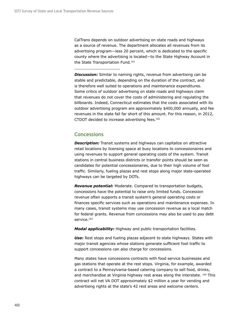CalTrans depends on outdoor advertising on state roads and highways as a source of revenue. The department allocates all revenues from its advertising program—less 20 percent, which is dedicated to the specific county where the advertising is located—to the State Highway Account in the State Transportation Fund.161

**Discussion:** Similar to naming rights, revenue from advertising can be stable and predictable, depending on the duration of the contract, and is therefore well suited to operations and maintenance expenditures. Some critics of outdoor advertising on state roads and highways claim that revenues do not cover the costs of administering and regulating the billboards. Indeed, Connecticut estimates that the costs associated with its outdoor advertising program are approximately \$400,000 annually, and fee revenues in the state fall far short of this amount. For this reason, in 2012, CTDOT decided to increase advertising fees.162

## **Concessions**

**Description:** Transit systems and highways can capitalize on attractive retail locations by licensing space at busy locations to concessionaires and using revenues to support general operating costs of the system. Transit stations in central business districts or transfer points should be seen as candidates for potential concessionaires, due to their high volume of foot traffic. Similarly, fueling plazas and rest stops along major state-operated highways can be targeted by DOTs.

*Revenue potential:* Moderate. Compared to transportation budgets, concessions have the potential to raise only limited funds. Concession revenue often supports a transit system's general operating costs or finances specific services such as operations and maintenance expenses. In many cases, transit systems may use concession revenue as a local match for federal grants. Revenue from concessions may also be used to pay debt service.<sup>163</sup>

*Modal applicability:* Highway and public transportation facilities.

*Use:* Rest stops and fueling plazas adjacent to state highways. States with major transit agencies whose stations generate sufficient foot traffic to support concessions can also charge for concessions.

Many states have concessions contracts with food service businesses and gas stations that operate at the rest stops. Virginia, for example, awarded a contract to a Pennsylvania-based catering company to sell food, drinks, and merchandise at Virginia highway rest areas along the interstate. 164 This contract will net VA DOT approximately \$2 million a year for vending and advertising rights at the state's 42 rest areas and welcome centers.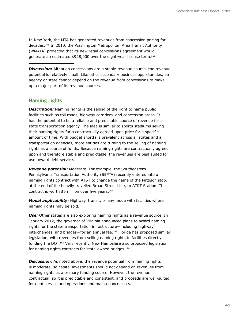In New York, the MTA has generated revenues from concession pricing for decades.165 In 2010, the Washington Metropolitan Area Transit Authority (WMATA) projected that its new retail concessions agreement would generate an estimated \$928,000 over the eight-year license term.<sup>166</sup>

**Discussion:** Although concessions are a stable revenue source, the revenue potential is relatively small. Like other secondary business opportunities, an agency or state cannot depend on the revenue from concessions to make up a major part of its revenue sources.

## **Naming rights**

**Description:** Naming rights is the selling of the right to name public facilities such as toll roads, highway corridors, and concession areas. It has the potential to be a reliable and predictable source of revenue for a state transportation agency. The idea is similar to sports stadiums selling their naming rights for a contractually agreed-upon price for a specific amount of time. With budget shortfalls prevalent across all states and all transportation agencies, more entities are turning to the selling of naming rights as a source of funds. Because naming rights are contractually agreed upon and therefore stable and predictable, the revenues are best suited for use toward debt service.

*Revenue potential:* Moderate. For example, the Southeastern Pennsylvania Transportation Authority (SEPTA) recently entered into a naming rights contract with AT&T to change the name of the Pattison stop, at the end of the heavily travelled Broad Street Line, to AT&T Station. The contract is worth \$5 million over five years.<sup>167</sup>

*Modal applicability:* Highway, transit, or any mode with facilities where naming rights may be sold.

**Use:** Other states are also exploring naming rights as a revenue source. In January 2012, the governor of Virginia announced plans to award naming rights for the state transportation infrastructure—including highway, interchanges, and bridges—for an annual fee.168 Florida has proposed similar legislation, with revenues from selling naming rights to facilities directly funding the DOT.169 Very recently, New Hampshire also proposed legislation for naming rights contracts for state-owned bridges.<sup>170</sup>

*Discussion:* As noted above, the revenue potential from naming rights is moderate, so capital investments should not depend on revenues from naming rights as a primary funding source. However, the revenue is contractual, so it is predictable and consistent, and proceeds are well-suited for debt service and operations and maintenance costs.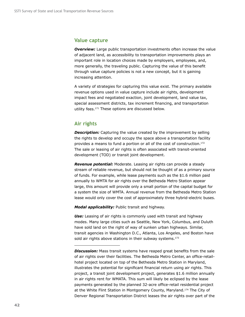### **Value capture**

**Overview:** Large public transportation investments often increase the value of adjacent land, as accessibility to transportation improvements plays an important role in location choices made by employers, employees, and, more generally, the traveling public. Capturing the value of this benefit through value capture policies is not a new concept, but it is gaining increasing attention.

A variety of strategies for capturing this value exist. The primary available revenue options used in value capture include air rights, development impact fees and negotiated exaction, joint development, land value tax, special assessment districts, tax increment financing, and transportation utility fees.<sup>171</sup> These options are discussed below.

## **Air rights**

**Description:** Capturing the value created by the improvement by selling the rights to develop and occupy the space above a transportation facility provides a means to fund a portion or all of the cost of construction.<sup>172</sup> The sale or leasing of air rights is often associated with transit-oriented development (TOD) or transit joint development.

*Revenue potential:* Moderate. Leasing air rights can provide a steady stream of reliable revenue, but should not be thought of as a primary source of funds. For example, while lease payments such as the \$1.6 million paid annually to WMTA for air rights over the Bethesda Metro Station appear large, this amount will provide only a small portion of the capital budget for a system the size of WMTA. Annual revenue from the Bethesda Metro Station lease would only cover the cost of approximately three hybrid-electric buses.

*Modal applicability:* Public transit and highway.

*Use:* Leasing of air rights is commonly used with transit and highway modes. Many large cities such as Seattle, New York, Columbus, and Duluth have sold land on the right of way of sunken urban highways. Similar, transit agencies in Washington D.C., Atlanta, Los Angeles, and Boston have sold air rights above stations in their subway systems.<sup>173</sup>

*Discussion:* Mass transit systems have reaped great benefits from the sale of air rights over their facilities. The Bethesda Metro Center, an office-retailhotel project located on top of the Bethesda Metro Station in Maryland, illustrates the potential for significant financial return using air rights. This project, a transit joint development project, generates \$1.6 million annually in air rights rent for WMATA. This sum will likely be eclipsed by the lease payments generated by the planned 32-acre office-retail residential project at the White Flint Station in Montgomery County, Maryland.<sup>174</sup> The City of Denver Regional Transportation District leases the air rights over part of the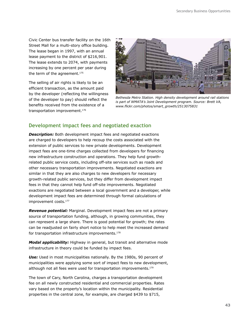Civic Center bus transfer facility on the 16th Street Mall for a multi-story office building. The lease began in 1997, with an annual lease payment to the district of \$216,901. The lease extends to 2074, with payments increasing by one percent per year during the term of the agreement.<sup>175</sup>

The selling of air rights is likely to be an efficient transaction, as the amount paid by the developer (reflecting the willingness of the developer to pay) should reflect the benefits received from the existence of a transportation improvement.176



*Bethesda Metro Station. High density development around rail stations is part of WMATA's Joint Development program. Source: Brett VA, www.flickr.com/photos/smart\_growth/2513075831*

## **Development impact fees and negotiated exaction**

**Description:** Both development impact fees and negotiated exactions are charged to developers to help recoup the costs associated with the extension of public services to new private developments. Development impact fees are one-time charges collected from developers for financing new infrastructure construction and operations. They help fund growthrelated public service costs, including off-site services such as roads and other necessary transportation improvements. Negotiated exactions are similar in that they are also charges to new developers for necessary growth-related public services, but they differ from development impact fees in that they cannot help fund off-site improvements. Negotiated exactions are negotiated between a local government and a developer, while development impact fees are determined through formal calculations of improvement costs.177

*Revenue potential:* Marginal. Development impact fees are not a primary source of transportation funding, although, in growing communities, they can represent a large share. There is good potential for growth; the rates can be readjusted on fairly short notice to help meet the increased demand for transportation infrastructure improvements.<sup>178</sup>

*Modal applicability:* Highway in general, but transit and alternative mode infrastructure in theory could be funded by impact fees.

*Use:* Used in most municipalities nationally. By the 1980s, 90 percent of municipalities were applying some sort of impact fees to new development, although not all fees were used for transportation improvements.<sup>179</sup>

The town of Cary, North Carolina, charges a transportation development fee on all newly constructed residential and commercial properties. Rates vary based on the property's location within the municipality. Residential properties in the central zone, for example, are charged \$439 to \$715,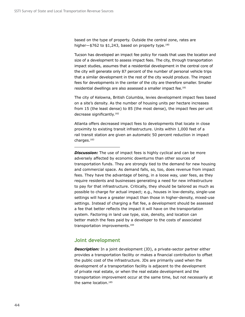based on the type of property. Outside the central zone, rates are higher-\$762 to \$1,243, based on property type.<sup>180</sup>

Tucson has developed an impact fee policy for roads that uses the location and size of a development to assess impact fees. The city, through transportation impact studies, assumes that a residential development in the central core of the city will generate only 87 percent of the number of personal vehicle trips that a similar development in the rest of the city would produce. The impact fees for developments in the center of the city are therefore smaller. Smaller residential dwellings are also assessed a smaller impact fee.<sup>181</sup>

The city of Kelowna, British Columbia, levies development impact fees based on a site's density. As the number of housing units per hectare increases from 15 (the least dense) to 85 (the most dense), the impact fees per unit decrease significantly.<sup>182</sup>

Atlanta offers decreased impact fees to developments that locate in close proximity to existing transit infrastructure. Units within 1,000 feet of a rail transit station are given an automatic 50 percent reduction in impact charges.183

**Discussion:** The use of impact fees is highly cyclical and can be more adversely affected by economic downturns than other sources of transportation funds. They are strongly tied to the demand for new housing and commercial space. As demand falls, so, too, does revenue from impact fees. They have the advantage of being, in a loose way, user fees, as they require residents and businesses generating a need for new infrastructure to pay for that infrastructure. Critically, they should be tailored as much as possible to charge for actual impact; e.g., houses in low-density, single-use settings will have a greater impact than those in higher-density, mixed-use settings. Instead of charging a flat fee, a development should be assessed a fee that better reflects the impact it will have on the transportation system. Factoring in land use type, size, density, and location can better match the fees paid by a developer to the costs of associated transportation improvements.184

### **Joint development**

*Description:* In a joint development (JD), a private-sector partner either provides a transportation facility or makes a financial contribution to offset the public cost of the infrastructure. JDs are primarily used when the development of a transportation facility is adjacent to the development of private real estate, or when the real estate development and the transportation improvement occur at the same time, but not necessarily at the same location.185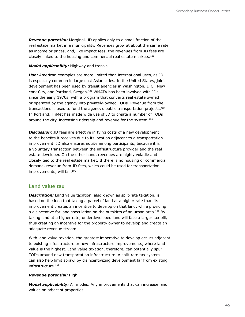*Revenue potential:* Marginal. JD applies only to a small fraction of the real estate market in a municipality. Revenues grow at about the same rate as income or prices, and, like impact fees, the revenues from JD fees are closely linked to the housing and commercial real estate markets.186

#### *Modal applicability:* Highway and transit.

*Use:* American examples are more limited than international uses, as JD is especially common in large east Asian cities. In the United States, joint development has been used by transit agencies in Washington, D.C., New York City, and Portland, Oregon.<sup>187</sup> WMATA has been involved with JDs since the early 1970s, with a program that converts real estate owned or operated by the agency into privately-owned TODs. Revenue from the transactions is used to fund the agency's public transportation projects.188 In Portland, TriMet has made wide use of JD to create a number of TODs around the city, increasing ridership and revenue for the system.<sup>189</sup>

**Discussion:** JD fees are effective in tying costs of a new development to the benefits it receives due to its location adjacent to a transportation improvement. JD also ensures equity among participants, because it is a voluntary transaction between the infrastructure provider and the real estate developer. On the other hand, revenues are highly volatile and closely tied to the real estate market. If there is no housing or commercial demand, revenue from JD fees, which could be used for transportation improvements, will fall.<sup>190</sup>

### **Land value tax**

**Description:** Land value taxation, also known as split-rate taxation, is based on the idea that taxing a parcel of land at a higher rate than its improvement creates an incentive to develop on that land, while providing a disincentive for land speculation on the outskirts of an urban area.<sup>191</sup> By taxing land at a higher rate, underdeveloped land will face a larger tax bill, thus creating an incentive for the property owner to develop and create an adequate revenue stream.

With land value taxation, the greatest imperative to develop occurs adjacent to existing infrastructure or new infrastructure improvements, where land value is the highest. Land value taxation, therefore, can potentially spur TODs around new transportation infrastructure. A split-rate tax system can also help limit sprawl by disincentivizing development far from existing infrastructure.<sup>192</sup>

#### *Revenue potential:* High.

*Modal applicability:* All modes. Any improvements that can increase land values on adjacent properties.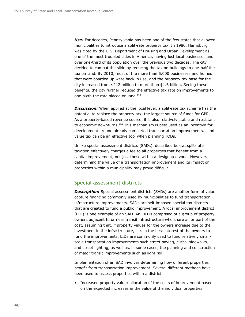*Use:* For decades, Pennsylvania has been one of the few states that allowed municipalities to introduce a split-rate property tax. In 1980, Harrisburg was cited by the U.S. Department of Housing and Urban Development as one of the most troubled cities in America, having lost local businesses and over one-third of its population over the previous two decades. The city decided to combat the slide by reducing the tax on buildings to one-half the tax on land. By 2010, most of the more than 5,000 businesses and homes that were boarded up were back in use, and the property tax base for the city increased from \$212 million to more than \$1.6 billion. Seeing these benefits, the city further reduced the effective tax rate on improvements to one-sixth the rate placed on land.<sup>193</sup>

**Discussion:** When applied at the local level, a split-rate tax scheme has the potential to replace the property tax, the largest source of funds for GPR. As a property-based revenue source, it is also relatively stable and resistant to economic downturns.<sup>194</sup> This mechanism is best used as an incentive for development around already completed transportation improvements. Land value tax can be an effective tool when planning TODs.

Unlike special assessment districts (SADs), described below, split-rate taxation effectively charges a fee to all properties that benefit from a capital improvement, not just those within a designated zone. However, determining the value of a transportation improvement and its impact on properties within a municipality may prove difficult.

## **Special assessment districts**

**Description:** Special assessment districts (SADs) are another form of value capture financing commonly used by municipalities to fund transportation infrastructure improvements. SADs are self-imposed special tax districts that are created to fund a public improvement. A local improvement district (LID) is one example of an SAD. An LID is comprised of a group of property owners adjacent to or near transit infrastructure who share all or part of the cost, assuming that, if property values for the owners increase due to the investment in the infrastructure, it is in the best interest of the owners to fund the improvements. LIDs are commonly used to fund relatively smallscale transportation improvements such street paving, curbs, sidewalks, and street lighting, as well as, in some cases, the planning and construction of major transit improvements such as light rail.

Implementation of an SAD involves determining how different properties benefit from transportation improvement. Several different methods have been used to assess properties within a district:

• Increased property value: allocation of the costs of improvement based on the expected increases in the value of the individual properties.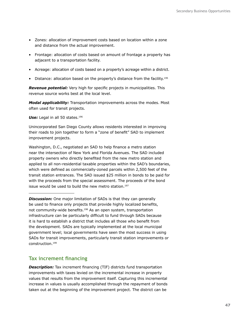- Zones: allocation of improvement costs based on location within a zone and distance from the actual improvement.
- Frontage: allocation of costs based on amount of frontage a property has adjacent to a transportation facility.
- Acreage: allocation of costs based on a property's acreage within a district.
- Distance: allocation based on the property's distance from the facility.<sup>195</sup>

*Revenue potential:* Very high for specific projects in municipalities. This revenue source works best at the local level.

*Modal applicability:* Transportation improvements across the modes. Most often used for transit projects.

Use: Legal in all 50 states.<sup>196</sup>

Unincorporated San Diego County allows residents interested in improving their roads to join together to form a "zone of benefit" SAD to implement improvement projects.

Washington, D.C., negotiated an SAD to help finance a metro station near the intersection of New York and Florida Avenues. The SAD included property owners who directly benefited from the new metro station and applied to all non-residential taxable properties within the SAD's boundaries, which were defined as commercially-zoned parcels within 2,500 feet of the transit station entrances. The SAD issued \$25 million in bonds to be paid for with the proceeds from the special assessment. The proceeds of the bond issue would be used to build the new metro station.<sup>197</sup>

**Discussion:** One major limitation of SADs is that they can generally be used to finance only projects that provide highly localized benefits, not community-wide benefits.198 As an open system, transportation infrastructure can be particularly difficult to fund through SADs because it is hard to establish a district that includes all those who benefit from the development. SADs are typically implemented at the local municipal government level; local governments have seen the most success in using SADs for transit improvements, particularly transit station improvements or construction.199

### **Tax increment financing**

**Description:** Tax increment financing (TIF) districts fund transportation improvements with taxes levied on the incremental increase in property values that results from the improvement itself. Capturing this incremental increase in values is usually accomplished through the repayment of bonds taken out at the beginning of the improvement project. The district can be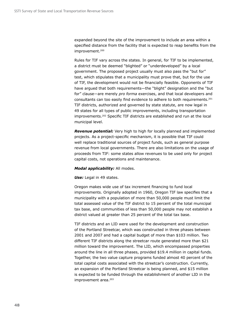expanded beyond the site of the improvement to include an area within a specified distance from the facility that is expected to reap benefits from the improvement.<sup>200</sup>

Rules for TIF vary across the states. In general, for TIF to be implemented, a district must be deemed "blighted" or "underdeveloped" by a local government. The proposed project usually must also pass the "but for" test, which stipulates that a municipality must prove that, but for the use of TIF, the development would not be financially feasible. Opponents of TIF have argued that both requirements—the "blight" designation and the "but for" clause—are merely *pro forma* exercises, and that local developers and consultants can too easily find evidence to adhere to both requirements.<sup>201</sup> TIF districts, authorized and governed by state statute, are now legal in 49 states for all types of public improvements, including transportation improvements.202 Specific TIF districts are established and run at the local municipal level.

*Revenue potential:* Very high to high for locally planned and implemented projects. As a project-specific mechanism, it is possible that TIF could well replace traditional sources of project funds, such as general purpose revenue from local governments. There are also limitations on the usage of proceeds from TIF: some states allow revenues to be used only for project capital costs, not operations and maintenance.

#### *Modal applicability:* All modes.

#### *Use:* Legal in 49 states.

Oregon makes wide use of tax increment financing to fund local improvements. Originally adopted in 1960, Oregon TIF law specifies that a municipality with a population of more than 50,000 people must limit the total assessed value of the TIF district to 15 percent of the total municipal tax base, and communities of less than 50,000 people may not establish a district valued at greater than 25 percent of the total tax base.

TIF districts and an LID were used for the development and construction of the Portland Streetcar, which was constructed in three phases between 2001 and 2007 and had a capital budget of more than \$103 million. Two different TIF districts along the streetcar route generated more than \$21 million toward the improvement. The LID, which encompassed properties around the line in all three phases, provided \$19.4 million in capital funds. Together, the two value capture programs funded almost 40 percent of the total capital costs associated with the streetcar's construction. Currently, an expansion of the Portland Streetcar is being planned, and \$15 million is expected to be funded through the establishment of another LID in the improvement area.<sup>203</sup>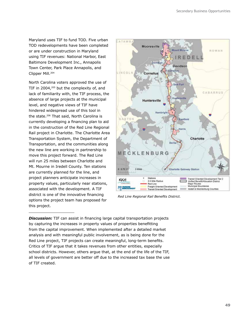Maryland uses TIF to fund TOD. Five urban TOD redevelopments have been completed or are under construction in Maryland using TIF revenues: National Harbor, East Baltimore Development Inc., Annapolis Town Center, Park Place Annapolis, and Clipper Mill.204

North Carolina voters approved the use of TIF in 2004,<sup>205</sup> but the complexity of, and lack of familiarity with, the TIF process, the absence of large projects at the municipal level, and negative views of TIF have hindered widespread use of this tool in the state.206 That said, North Carolina is currently developing a financing plan to aid in the construction of the Red Line Regional Rail project in Charlotte. The Charlotte Area Transportation System, the Department of Transportation, and the communities along the new line are working in partnership to move this project forward. The Red Line will run 25 miles between Charlotte and Mt. Mourne in Iredell County. Ten stations are currently planned for the line, and project planners anticipate increases in property values, particularly near stations, associated with the development. A TIF district is one of the innovative financing options the project team has proposed for this project.



*Red Line Regional Rail Benefits District.*

**Discussion:** TIF can assist in financing large capital transportation projects by capturing the increases in property values of properties benefitting from the capital improvement. When implemented after a detailed market analysis and with meaningful public involvement, as is being done for the Red Line project, TIF projects can create meaningful, long-term benefits. Critics of TIF argue that it takes revenues from other entities, especially school districts. However, others argue that, at the end of the life of the TIF, all levels of government are better off due to the increased tax base the use of TIF created.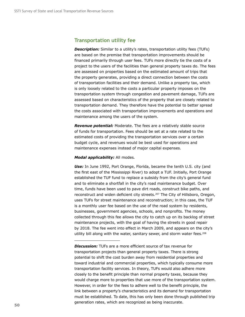### **Transportation utility fee**

**Description:** Similar to a utility's rates, transportation utility fees (TUFs) are based on the premise that transportation improvements should be financed primarily through user fees. TUFs more directly tie the costs of a project to the users of the facilities than general property taxes do. The fees are assessed on properties based on the estimated amount of trips that the property generates, providing a direct connection between the costs of transportation facilities and their demand. Unlike a property tax, which is only loosely related to the costs a particular property imposes on the transportation system through congestion and pavement damage, TUFs are assessed based on characteristics of the property that are closely related to transportation demand. They therefore have the potential to better spread the costs associated with transportation improvements and operations and maintenance among the users of the system.

*Revenue potential:* Moderate. The fees are a relatively stable source of funds for transportation. Fees should be set at a rate related to the estimated costs of providing the transportation services over a certain budget cycle, and revenues would be best used for operations and maintenance expenses instead of major capital expenses.

#### *Modal applicability:* All modes*.*

*Use:* In June 1992, Port Orange, Florida, became the tenth U.S. city (and the first east of the Mississippi River) to adopt a TUF. Initially, Port Orange established the TUF fund to replace a subsidy from the city's general fund and to eliminate a shortfall in the city's road maintenance budget. Over time, funds have been used to pave dirt roads, construct bike paths, and reconstruct and widen deficient city streets.<sup>207</sup> The City of Hillsboro, Oregon, uses TUFs for street maintenance and reconstruction; in this case, the TUF is a monthly user fee based on the use of the road system by residents, businesses, government agencies, schools, and nonprofits. The money collected through this fee allows the city to catch up on its backlog of street maintenance projects, with the goal of having the streets in good repair by 2018. The fee went into effect in March 2009, and appears on the city's utility bill along with the water, sanitary sewer, and storm water fees.<sup>208</sup>

**Discussion:** TUFs are a more efficient source of tax revenue for transportation projects than general property taxes. There is strong potential to shift the cost burden away from residential properties and toward industrial and commercial properties, which typically consume more transportation facility services. In theory, TUFs would also adhere more closely to the benefit principle than normal property taxes, because they would charge more to properties that use more of the transportation system. However, in order for the fees to adhere well to the benefit principle, the link between a property's characteristics and its demand for transportation must be established. To date, this has only been done through published trip generation rates, which are recognized as being inaccurate.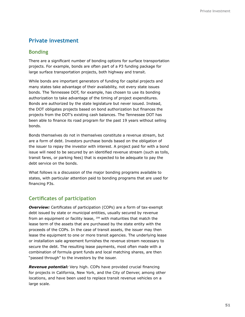## **Private investment**

### **Bonding**

There are a significant number of bonding options for surface transportation projects. For example, bonds are often part of a P3 funding package for large surface transportation projects, both highway and transit.

While bonds are important generators of funding for capital projects and many states take advantage of their availability, not every state issues bonds. The Tennessee DOT, for example, has chosen to use its bonding authorization to take advantage of the timing of project expenditures. Bonds are authorized by the state legislature but never issued. Instead, the DOT obligates projects based on bond authorization but finances the projects from the DOT's existing cash balances. The Tennessee DOT has been able to finance its road program for the past 19 years without selling bonds.

Bonds themselves do not in themselves constitute a revenue stream, but are a form of debt. Investors purchase bonds based on the obligation of the issuer to repay the investor with interest. A project paid for with a bond issue will need to be secured by an identified revenue stream (such as tolls, transit fares, or parking fees) that is expected to be adequate to pay the debt service on the bonds.

What follows is a discussion of the major bonding programs available to states, with particular attention paid to bonding programs that are used for financing P3s.

## **Certificates of participation**

**Overview:** Certificates of participation (COPs) are a form of tax-exempt debt issued by state or municipal entities, usually secured by revenue from an equipment or facility lease, 209 with maturities that match the lease term of the assets that are purchased by the state entity with the proceeds of the COPs. In the case of transit assets, the issuer may then lease the equipment to one or more transit agencies. The underlying lease or installation sale agreement furnishes the revenue stream necessary to secure the debt. The resulting lease payments, most often made with a combination of formula grant funds and local matching shares, are then "passed through" to the investors by the issuer.

*Revenue potential:* Very high. COPs have provided crucial financing for projects in California, New York, and the City of Denver, among other locations, and have been used to replace transit revenue vehicles on a large scale.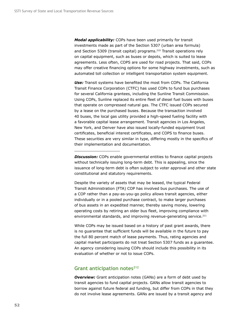*Modal applicability:* COPs have been used primarily for transit investments made as part of the Section 5307 (urban area formula) and Section 5309 (transit capital) programs.<sup>210</sup> Transit operations rely on capital equipment, such as buses or depots, which is suited to lease agreements. Less often, COPS are used for road projects. That said, COPs may offer creative financing options for some highway investments, such as automated toll collection or intelligent transportation system equipment.

*Use:* Transit systems have benefited the most from COPs. The California Transit Finance Corporation (CTFC) has used COPs to fund bus purchases for several California grantees, including the Sunline Transit Commission. Using COPs, Sunline replaced its entire fleet of diesel fuel buses with buses that operate on compressed natural gas. The CTFC issued COPs secured by a lease on the purchased buses. Because the transaction involved 40 buses, the local gas utility provided a high-speed fueling facility with a favorable capital lease arrangement. Transit agencies in Los Angeles, New York, and Denver have also issued locally-funded equipment trust certificates, beneficial interest certificates, and COPS to finance buses. These securities are very similar in type, differing mostly in the specifics of their implementation and documentation.

**Discussion:** COPs enable governmental entities to finance capital projects without technically issuing long-term debt. This is appealing, since the issuance of long-term debt is often subject to voter approval and other state constitutional and statutory requirements.

Despite the variety of assets that may be leased, the typical Federal Transit Administration (FTA) COP has involved bus purchases. The use of a COP rather than a pay-as-you-go policy allows transit agencies, either individually or in a pooled purchase contract, to make larger purchases of bus assets in an expedited manner, thereby saving money, lowering operating costs by retiring an older bus fleet, improving compliance with environmental standards, and improving revenue-generating service.<sup>211</sup>

While COPs may be issued based on a history of past grant awards, there is no guarantee that sufficient funds will be available in the future to pay the full 80 percent match of lease payments. Thus, rating agencies and capital market participants do not treat Section 5307 funds as a guarantee. An agency considering issuing COPs should include this possibility in its evaluation of whether or not to issue COPs.

### Grant anticipation notes<sup>212</sup>

**Overview:** Grant anticipation notes (GANs) are a form of debt used by transit agencies to fund capital projects. GANs allow transit agencies to borrow against future federal aid funding, but differ from COPs in that they do not involve lease agreements. GANs are issued by a transit agency and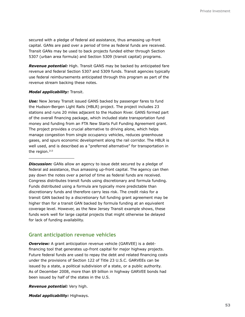secured with a pledge of federal aid assistance, thus amassing up-front capital. GANs are paid over a period of time as federal funds are received. Transit GANs may be used to back projects funded either through Section 5307 (urban area formula) and Section 5309 (transit capital) programs.

*Revenue potential:* High. Transit GANS may be backed by anticipated fare revenue and federal Section 5307 and 5309 funds. Transit agencies typically use federal reimbursements anticipated through this program as part of the revenue stream backing these notes.

#### *Modal applicability:* Transit.

*Use:* New Jersey Transit issued GANS backed by passenger fares to fund the Hudson-Bergen Light Rails (HBLR) project. The project includes 23 stations and runs 20 miles adjacent to the Hudson River. GANS formed part of the overall financing package, which included state transportation fund money and funding from an FTA New Starts Full Funding Agreement grant. The project provides a crucial alternative to driving alone, which helps manage congestion from single occupancy vehicles, reduces greenhouse gases, and spurs economic development along the rail corridor. The HBLR is well used, and is described as a "preferred alternative" for transportation in the region.213

**Discussion:** GANs allow an agency to issue debt secured by a pledge of federal aid assistance, thus amassing up-front capital. The agency can then pay down the notes over a period of time as federal funds are received. Congress distributes transit funds using discretionary and formula funding. Funds distributed using a formula are typically more predictable than discretionary funds and therefore carry less risk. The credit risks for a transit GAN backed by a discretionary full funding grant agreement may be higher than for a transit GAN backed by formula funding at an equivalent coverage level. However, as the New Jersey Transit example shows, these funds work well for large capital projects that might otherwise be delayed for lack of funding availability.

### **Grant anticipation revenue vehicles**

*Overview:* A grant anticipation revenue vehicle (GARVEE) is a debtfinancing tool that generates up-front capital for major highway projects. Future federal funds are used to repay the debt and related financing costs under the provisions of Section 122 of Title 23 U.S.C. GARVEEs can be issued by a state, a political subdivision of a state, or a public authority. As of December 2008, more than \$9 billion in highway GARVEE bonds had been issued by half of the states in the U.S.

*Revenue potential:* Very high.

*Modal applicability:* Highways.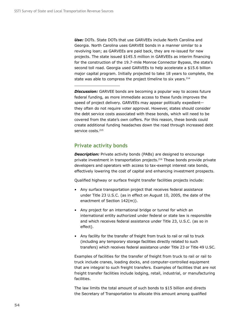*Use:* DOTs. State DOTs that use GARVEEs include North Carolina and Georgia. North Carolina uses GARVEE bonds in a manner similar to a revolving loan; as GARVEEs are paid back, they are re-issued for new projects. The state issued \$145.5 million in GARVEEs as interim financing for the construction of the 19.7-mile Monroe Connector Bypass, the state's second toll road. Georgia used GARVEEs to help accelerate a \$15.6 billion major capital program. Initially projected to take 18 years to complete, the state was able to compress the project timeline to six years.<sup>214</sup>

**Discussion:** GARVEE bonds are becoming a popular way to access future federal funding, as more immediate access to these funds improves the speed of project delivery. GARVEEs may appear politically expedient they often do not require voter approval. However, states should consider the debt service costs associated with these bonds, which will need to be covered from the state's own coffers. For this reason, these bonds could create additional funding headaches down the road through increased debt service costs.<sup>215</sup>

## **Private activity bonds**

**Description:** Private activity bonds (PABs) are designed to encourage private investment in transportation projects.216 These bonds provide private developers and operators with access to tax-exempt interest rate bonds, effectively lowering the cost of capital and enhancing investment prospects.

Qualified highway or surface freight transfer facilities projects include:

- Any surface transportation project that receives federal assistance under Title 23 U.S.C. (as in effect on August 10, 2005, the date of the enactment of Section 142(m)).
- Any project for an international bridge or tunnel for which an international entity authorized under federal or state law is responsible and which receives federal assistance under Title 23, U.S.C. (as so in effect).
- Any facility for the transfer of freight from truck to rail or rail to truck (including any temporary storage facilities directly related to such transfers) which receives federal assistance under Title 23 or Title 49 U.SC.

Examples of facilities for the transfer of freight from truck to rail or rail to truck include cranes, loading docks, and computer-controlled equipment that are integral to such freight transfers. Examples of facilities that are not freight transfer facilities include lodging, retail, industrial, or manufacturing facilities.

The law limits the total amount of such bonds to \$15 billion and directs the Secretary of Transportation to allocate this amount among qualified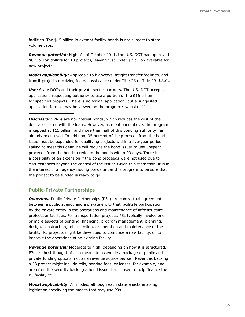facilities. The \$15 billion in exempt facility bonds is not subject to state volume caps.

*Revenue potential:* High. As of October 2011, the U.S. DOT had approved \$8.1 billion dollars for 13 projects, leaving just under \$7 billion available for new projects.

*Modal applicability:* Applicable to highways, freight transfer facilities, and transit projects receiving federal assistance under Title 23 or Title 49 U.S.C..

*Use:* State DOTs and their private sector partners. The U.S. DOT accepts applications requesting authority to use a portion of the \$15 billion for specified projects. There is no formal application, but a suggested application format may be viewed on the program's website.<sup>217</sup>

*Discussion:* PABs are no-interest bonds, which reduces the cost of the debt associated with the loans. However, as mentioned above, the program is capped at \$15 billion, and more than half of this bonding authority has already been used. In addition, 95 percent of the proceeds from the bond issue must be expended for qualifying projects within a five-year period. Failing to meet this deadline will require the bond issuer to use unspent proceeds from the bond to redeem the bonds within 90 days. There is a possibility of an extension if the bond proceeds were not used due to circumstances beyond the control of the issuer. Given this restriction, it is in the interest of an agency issuing bonds under this program to be sure that the project to be funded is ready to go.

### **Public-Private Partnerships**

**Overview:** Public-Private Partnerships (P3s) are contractual agreements between a public agency and a private entity that facilitate participation by the private entity in the operations and maintenance of infrastructure projects or facilities. For transportation projects, P3s typically involve one or more aspects of bonding, financing, program management, planning, design, construction, toll collection, or operation and maintenance of the facility. P3 projects might be developed to complete a new facility, or to improve the operations of an existing facility.

*Revenue potential:* Moderate to high, depending on how it is structured. P3s are best thought of as a means to assemble a package of public and private funding options, not as a revenue source *per se* . Revenues backing a P3 project might include tolls, parking fees, or leases, for example, and are often the security backing a bond issue that is used to help finance the P3 facility.<sup>218</sup>

*Modal applicability:* All modes, although each state enacts enabling legislation specifying the modes that may use P3s.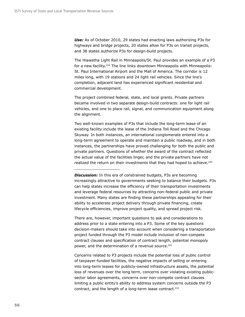Use: As of October 2010, 29 states had enacting laws authorizing P3s for highways and bridge projects, 20 states allow for P3s on transit projects, and 38 states authorize P3s for design-build projects.

The Hiawatha Light Rail in Minneapolis/St. Paul provides an example of a P3 for a new facility.<sup>219</sup> The line links downtown Minneapolis with Minneapolis-St. Paul International Airport and the Mall of America. The corridor is 12 miles long, with 19 stations and 24 light rail vehicles. Since the line's completion, adjacent land has experienced significant residential and commercial development.

The project combined federal, state, and local grants. Private partners became involved in two separate design-build contracts: one for light rail vehicles, and one to place rail, signal, and communication equipment along the alignment.

Two well-known examples of P3s that include the long-term lease of an existing facility include the lease of the Indiana Toll Road and the Chicago Skyway. In both instances, an international conglomerate entered into a long-term agreement to operate and maintain a public roadway, and in both instances, the partnerships have proved challenging for both the public and private partners. Questions of whether the award of the contract reflected the actual value of the facilities linger, and the private partners have not realized the return on their investments that they had hoped to achieve.<sup>220</sup>

There are, however, important questions to ask and considerations to address prior to a state entering into a P3. Some of the key questions decision-makers should take into account when considering a transportation project funded through the P3 model include inclusion of non-compete contract clauses and specification of contract length, potential monopoly power, and the determination of a revenue source.<sup>221</sup>

Concerns related to P3 projects include the potential loss of public control of taxpayer-funded facilities, the negative impacts of selling or entering into long-term leases for publicly-owned infrastructure assets, the potential loss of revenues over the long term, concerns over violating existing publicsector labor agreements, concerns over non-compete contract clauses limiting a public entity's ability to address system concerns outside the P3 contract, and the length of a long-term lease contract.<sup>222</sup>

**Discussion:** In this era of constrained budgets, P3s are becoming increasingly attractive to governments seeking to balance their budgets. P3s can help states increase the efficiency of their transportation investments and leverage federal resources by attracting non-federal public and private investment. Many states are finding these partnerships appealing for their ability to accelerate project delivery through private financing, create lifecycle efficiencies, improve project quality, and spread project risk.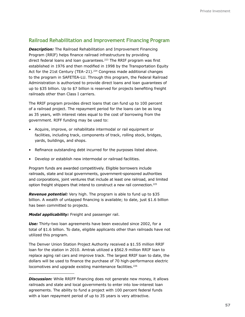## **Railroad Rehabilitation and Improvement Financing Program**

*Description:* The Railroad Rehabilitation and Improvement Financing Program (RRIF) helps finance railroad infrastructure by providing direct federal loans and loan guarantees.<sup>223</sup> The RRIF program was first established in 1976 and then modified in 1998 by the Transportation Equity Act for the 21st Century (TEA-21).<sup>224</sup> Congress made additional changes to the program in SAFETEA-LU. Through this program, the Federal Railroad Administration is authorized to provide direct loans and loan guarantees of up to \$35 billion. Up to \$7 billion is reserved for projects benefiting freight railroads other than Class I carriers.

The RRIF program provides direct loans that can fund up to 100 percent of a railroad project. The repayment period for the loans can be as long as 35 years, with interest rates equal to the cost of borrowing from the government. RIFF funding may be used to:

- Acquire, improve, or rehabilitate intermodal or rail equipment or facilities, including track, components of track, rolling stock, bridges, yards, buildings, and shops.
- Refinance outstanding debt incurred for the purposes listed above.
- Develop or establish new intermodal or railroad facilities.

Program funds are awarded competitively. Eligible borrowers include railroads, state and local governments, government-sponsored authorities and corporations, joint ventures that include at least one railroad, and limited option freight shippers that intend to construct a new rail connection.<sup>225</sup>

*Revenue potential:* Very high. The program is able to fund up to \$35 billion. A wealth of untapped financing is available; to date, just \$1.6 billion has been committed to projects.

*Modal applicability:* Freight and passenger rail.

*Use:* Thirty-two loan agreements have been executed since 2002, for a total of \$1.6 billion. To date, eligible applicants other than railroads have not utilized this program.

The Denver Union Station Project Authority received a \$1.55 million RRIF loan for the station in 2010. Amtrak utilized a \$562.9 million RRIF loan to replace aging rail cars and improve track. The largest RRIF loan to date, the dollars will be used to finance the purchase of 70 high-performance electric locomotives and upgrade existing maintenance facilities.<sup>226</sup>

*Discussion:* While RRIFF financing does not generate new money, it allows railroads and state and local governments to enter into low-interest loan agreements. The ability to fund a project with 100 percent federal funds with a loan repayment period of up to 35 years is very attractive.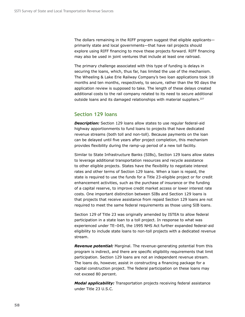The dollars remaining in the RIFF program suggest that eligible applicants primarily state and local governments—that have rail projects should explore using RIFF financing to move these projects forward. RIFF financing may also be used in joint ventures that include at least one railroad.

The primary challenge associated with this type of funding is delays in securing the loans, which, thus far, has limited the use of the mechanism. The Wheeling & Lake Erie Railway Company's two loan applications took 18 months and ten months, respectively, to secure, rather than the 90 days the application review is supposed to take. The length of these delays created additional costs to the rail company related to its need to secure additional outside loans and its damaged relationships with material suppliers.<sup>227</sup>

### **Section 129 loans**

*Description:* Section 129 loans allow states to use regular federal-aid highway apportionments to fund loans to projects that have dedicated revenue streams (both toll and non-toll). Because payments on the loan can be delayed until five years after project completion, this mechanism provides flexibility during the ramp-up period of a new toll facility.

Similar to State Infrastructure Banks (SIBs), Section 129 loans allow states to leverage additional transportation resources and recycle assistance to other eligible projects. States have the flexibility to negotiate interest rates and other terms of Section 129 loans. When a loan is repaid, the state is required to use the funds for a Title 23-eligible project or for credit enhancement activities, such as the purchase of insurance or the funding of a capital reserve, to improve credit market access or lower interest rate costs. One important distinction between SIBs and Section 129 loans is that projects that receive assistance from repaid Section 129 loans are not required to meet the same federal requirements as those using SIB loans.

Section 129 of Title 23 was originally amended by ISTEA to allow federal participation in a state loan to a toll project. In response to what was experienced under TE–045, the 1995 NHS Act further expanded federal-aid eligibility to include state loans to non-toll projects with a dedicated revenue stream.

*Revenue potential:* Marginal. The revenue-generating potential from this program is indirect, and there are specific eligibility requirements that limit participation. Section 129 loans are not an independent revenue stream. The loans do, however, assist in constructing a financing package for a capital construction project. The federal participation on these loans may not exceed 80 percent.

*Modal applicability:* Transportation projects receiving federal assistance under Title 23 U.S.C.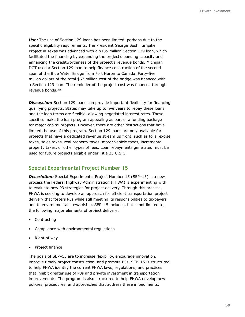*Use:* The use of Section 129 loans has been limited, perhaps due to the specific eligibility requirements. The President George Bush Turnpike Project in Texas was advanced with a \$135 million Section 129 loan, which facilitated the financing by expanding the project's bonding capacity and enhancing the creditworthiness of the project's revenue bonds. Michigan DOT used a Section 129 loan to help finance construction of the second span of the Blue Water Bridge from Port Huron to Canada. Forty-five million dollars of the total \$63 million cost of the bridge was financed with a Section 129 loan. The reminder of the project cost was financed through revenue bonds.228

**Discussion:** Section 129 loans can provide important flexibility for financing qualifying projects. States may take up to five years to repay these loans, and the loan terms are flexible, allowing negotiated interest rates. These specifics make the loan program appealing as part of a funding package for major capital projects. However, there are other restrictions that have limited the use of this program. Section 129 loans are only available for projects that have a dedicated revenue stream up front, such as tolls, excise taxes, sales taxes, real property taxes, motor vehicle taxes, incremental property taxes, or other types of fees. Loan repayments generated must be used for future projects eligible under Title 23 U.S.C.

## **Special Experimental Project Number 15**

*Description:* Special Experimental Project Number 15 (SEP–15) is a new process the Federal Highway Administration (FHWA) is experimenting with to evaluate new P3 strategies for project delivery. Through this process, FHWA is seeking to develop an approach for efficient transportation project delivery that fosters P3s while still meeting its responsibilities to taxpayers and to environmental stewardship. SEP–15 includes, but is not limited to, the following major elements of project delivery:

- Contracting
- Compliance with environmental regulations
- Right of way
- Project finance

The goals of SEP–15 are to increase flexibility, encourage innovation, improve timely project construction, and promote P3s. SEP–15 is structured to help FHWA identify the current FHWA laws, regulations, and practices that inhibit greater use of P3s and private investment in transportation improvements. The program is also structured to help FHWA develop new policies, procedures, and approaches that address these impediments.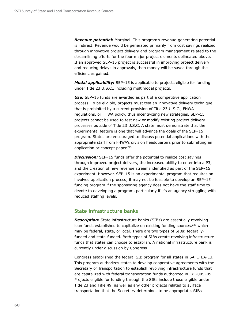*Revenue potential:* Marginal. This program's revenue-generating potential is indirect. Revenue would be generated primarily from cost savings realized through innovative project delivery and program management related to the streamlining efforts for the four major project elements delineated above. If an approved SEP–15 project is successful in improving project delivery and reducing delays in approvals, then money will be saved through the efficiencies gained.

*Modal applicability:* SEP–15 is applicable to projects eligible for funding under Title 23 U.S.C., including multimodal projects.

*Use:* SEP–15 funds are awarded as part of a competitive application process. To be eligible, projects must test an innovative delivery technique that is prohibited by a current provision of Title 23 U.S.C., FHWA regulations, or FHWA policy, thus incentivizing new strategies. SEP–15 projects cannot be used to test new or modify existing project delivery processes outside of Title 23 U.S.C. A state must demonstrate that the experimental feature is one that will advance the goals of the SEP–15 program. States are encouraged to discuss potential applications with the appropriate staff from FHWA's division headquarters prior to submitting an application or concept paper.<sup>229</sup>

**Discussion:** SEP-15 funds offer the potential to realize cost savings through improved project delivery, the increased ability to enter into a P3, and the creation of new revenue streams identified as part of the SEP–15 experiment. However, SEP–15 is an experimental program that requires an involved application process; it may not be feasible to develop an SEP–15 funding program if the sponsoring agency does not have the staff time to devote to developing a program, particularly if it's an agency struggling with reduced staffing levels.

### **State infrastructure banks**

**Description:** State infrastructure banks (SIBs) are essentially revolving loan funds established to capitalize on existing funding sources, $230$  which may be federal, state, or local. There are two types of SIBs: federallyfunded and state-funded. Both types of SIBs create revolving infrastructure funds that states can choose to establish. A national infrastructure bank is currently under discussion by Congress.

Congress established the federal SIB program for all states in SAFETEA-LU. This program authorizes states to develop cooperative agreements with the Secretary of Transportation to establish revolving infrastructure funds that are capitalized with federal transportation funds authorized in FY 2005–09. Projects eligible for funding through the SIBs include those eligible under Title 23 and Title 49, as well as any other projects related to surface transportation that the Secretary determines to be appropriate. SIBs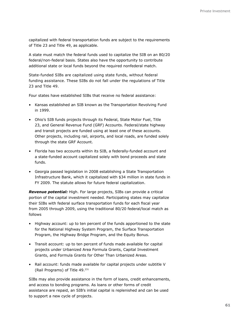capitalized with federal transportation funds are subject to the requirements of Title 23 and Title 49, as applicable.

A state must match the federal funds used to capitalize the SIB on an 80/20 federal/non-federal basis. States also have the opportunity to contribute additional state or local funds beyond the required nonfederal match.

State-funded SIBs are capitalized using state funds, without federal funding assistance. These SIBs do not fall under the regulations of Title 23 and Title 49.

Four states have established SIBs that receive no federal assistance:

- Kansas established an SIB known as the Transportation Revolving Fund in 1999.
- Ohio's SIB funds projects through its Federal, State Motor Fuel, Title 23, and General Revenue Fund (GRF) Accounts. Federal/state highway and transit projects are funded using at least one of these accounts. Other projects, including rail, airports, and local roads, are funded solely through the state GRF Account.
- Florida has two accounts within its SIB, a federally-funded account and a state-funded account capitalized solely with bond proceeds and state funds.
- Georgia passed legislation in 2008 establishing a State Transportation Infrastructure Bank, which it capitalized with \$34 million in state funds in FY 2009. The statute allows for future federal capitalization.

*Revenue potential:* High. For large projects, SIBs can provide a critical portion of the capital investment needed. Participating states may capitalize their SIBs with federal surface transportation funds for each fiscal year from 2005 through 2009, using the traditional 80/20 federal/local match as follows

- Highway account: up to ten percent of the funds apportioned to the state for the National Highway System Program, the Surface Transportation Program, the Highway Bridge Program, and the Equity Bonus.
- Transit account: up to ten percent of funds made available for capital projects under Urbanized Area Formula Grants, Capital Investment Grants, and Formula Grants for Other Than Urbanized Areas.
- Rail account: funds made available for capital projects under subtitle V (Rail Programs) of Title 49.231

SIBs may also provide assistance in the form of loans, credit enhancements, and access to bonding programs. As loans or other forms of credit assistance are repaid, an SIB's initial capital is replenished and can be used to support a new cycle of projects.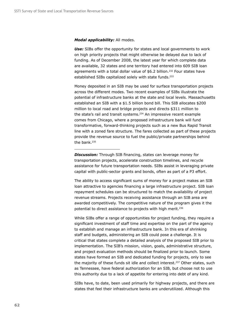#### *Modal applicability:* All modes.

*Use:* SIBs offer the opportunity for states and local governments to work on high priority projects that might otherwise be delayed due to lack of funding. As of December 2008, the latest year for which complete data are available, 32 states and one territory had entered into 609 SIB loan agreements with a total dollar value of \$6.2 billion.<sup>232</sup> Four states have established SIBs capitalized solely with state funds.<sup>233</sup>

Money deposited in an SIB may be used for surface transportation projects across the different modes. Two recent examples of SIBs illustrate the potential of infrastructure banks at the state and local levels. Massachusetts established an SIB with a \$1.5 billion bond bill. This SIB allocates \$200 million to local road and bridge projects and directs \$311 million to the state's rail and transit systems.<sup>234</sup> An impressive recent example comes from Chicago, where a proposed infrastructure bank will fund transformative, forward-thinking projects such as a new Bus Rapid Transit line with a zoned fare structure. The fares collected as part of these projects provide the revenue source to fuel the public/private partnerships behind the bank. $235$ 

**Discussion:** Through SIB financing, states can leverage money for transportation projects, accelerate construction timelines, and recycle assistance for future transportation needs. SIBs assist in leveraging private capital with public-sector grants and bonds, often as part of a P3 effort.

The ability to access significant sums of money for a project makes an SIB loan attractive to agencies financing a large infrastructure project. SIB loan repayment schedules can be structured to match the availability of project revenue streams. Projects receiving assistance through an SIB area are awarded competitively. The competitive nature of the program gives it the potential to direct assistance to projects with high merit.<sup>236</sup>

While SIBs offer a range of opportunities for project funding, they require a significant investment of staff time and expertise on the part of the agency to establish and manage an infrastructure bank. In this era of shrinking staff and budgets, administering an SIB could pose a challenge. It is critical that states complete a detailed analysis of the proposed SIB prior to implementation. The SIB's mission, vision, goals, administrative structure, and project evaluation methods should be finalized prior to launch. Some states have formed an SIB and dedicated funding for projects, only to see the majority of these funds sit idle and collect interest.<sup>237</sup> Other states, such as Tennessee, have federal authorization for an SIB, but choose not to use this authority due to a lack of appetite for entering into debt of any kind.

SIBs have, to date, been used primarily for highway projects, and there are states that feel their infrastructure banks are underutilized. Although this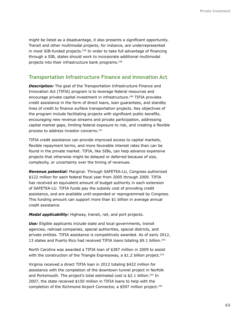might be listed as a disadvantage, it also presents a significant opportunity. Transit and other multimodal projects, for instance, are underrepresented in most SIB-funded projects.<sup>238</sup> In order to take full advantage of financing through a SIB, states should work to incorporate additional multimodal projects into their infrastructure bank programs.239

### **Transportation Infrastructure Finance and Innovation Act**

**Description:** The goal of the Transportation Infrastructure Finance and Innovation Act (TIFIA) program is to leverage federal resources and encourage private capital investment in infrastructure.<sup>240</sup> TIFIA provides credit assistance in the form of direct loans, loan guarantees, and standby lines of credit to finance surface transportation projects. Key objectives of the program include facilitating projects with significant public benefits, encouraging new revenue streams and private participation, addressing capital market gaps, limiting federal exposure to risk, and creating a flexible process to address investor concerns.241

TIFIA credit assistance can provide improved access to capital markets, flexible repayment terms, and more favorable interest rates than can be found in the private market. TIFIA, like SIBs, can help advance expensive projects that otherwise might be delayed or deferred because of size, complexity, or uncertainty over the timing of revenues.

*Revenue potential:* Marginal. Through SAFETEA-LU, Congress authorized \$122 million for each federal fiscal year from 2005 through 2009. TIFIA has received an equivalent amount of budget authority in each extension of SAFETEA-LU. TIFIA funds pay the subsidy cost of providing credit assistance, and are available until expended or reprogrammed by Congress. This funding amount can support more than \$1 billion in average annual credit assistance

*Modal applicability:* Highway, transit, rail, and port projects.

**Use:** Eligible applicants include state and local governments, transit agencies, railroad companies, special authorities, special districts, and private entities. TIFIA assistance is competitively awarded. As of early 2012, 13 states and Puerto Rico had received TIFIA loans totaling \$9.1 billion.<sup>242</sup>

North Carolina was awarded a TIFIA loan of \$387 million in 2009 to assist with the construction of the Triangle Expressway, a \$1.2 billion project.<sup>243</sup>

Virginia received a direct TIFIA loan in 2012 totaling \$422 million for assistance with the completion of the downtown tunnel project in Norfolk and Portsmouth. The project's total estimated cost is \$2.1 billion.<sup>244</sup> In 2007, the state received \$150 million in TIFIA loans to help with the completion of the Richmond Airport Connector, a \$597 million project.<sup>245</sup>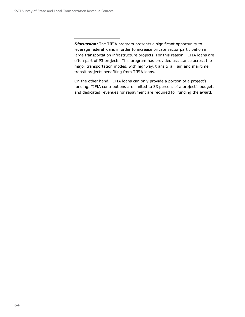**Discussion:** The TIFIA program presents a significant opportunity to leverage federal loans in order to increase private sector participation in large transportation infrastructure projects. For this reason, TIFIA loans are often part of P3 projects. This program has provided assistance across the major transportation modes, with highway, transit/rail, air, and maritime transit projects benefiting from TIFIA loans.

On the other hand, TIFIA loans can only provide a portion of a project's funding. TIFIA contributions are limited to 33 percent of a project's budget, and dedicated revenues for repayment are required for funding the award.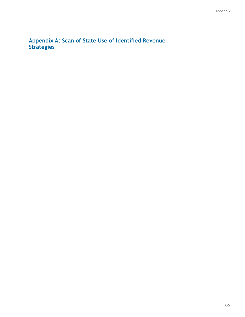**Appendix A: Scan of State Use of Identified Revenue Strategies**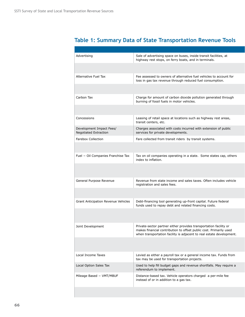## Advertising Alternative Fuel Tax Carbon Tax Concessions Development Impact Fees/ Negotiated Extraction Farebox Collection Fuel − Oil Companies Franchise Tax General Purpose Revenue Grant Anticipation Revenue Vehicles Joint Development Local Income Taxes Local Option Sales Tax Mileage Based − VMT/MBUF Sale of advertising space on buses, inside transit facilities, at highway rest stops, on ferry boats, and in terminals. Fee assessed to owners of alternative fuel vehicles to account for loss in gas tax revenue through reduced fuel consumption. Charge for amount of carbon dioxide pollution generated through burning of fossil fuels in motor vehicles. Leasing of retail space at locations such as highway rest areas, transit centers, etc. Charges associated with costs incurred with extension of public services for private developments. Fare collected from transit riders by transit systems. Tax on oil companies operating in a state. Some states cap, others index to inflation. Revenue from state income and sales taxes. Often includes vehicle registration and sales fees. Debt-financing tool generating up-front capital. Future federal funds used to repay debt and related financing costs. Private-sector partner either provides transportation facility or makes financial contribution to offset public cost. Primarily used when transportation facility is adjacent to real estate development. Levied as either a payroll tax or a general income tax. Funds from tax may be used for transportation projects. Used to help fill budget gaps and revenue shortfalls. May require a referendum to implement. Distance-based tax. Vehicle operators charged a per-mile fee instead of or in addition to a gas tax.

# **Table 1: Summary Data of State Transportation Revenue Tools**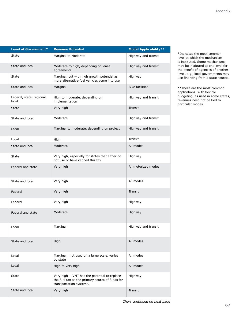| Level of Government*               | <b>Revenue Potential</b>                                                                                                   | <b>Modal Applicability**</b> |
|------------------------------------|----------------------------------------------------------------------------------------------------------------------------|------------------------------|
| State                              | Marginal to Moderate                                                                                                       | Highway and transit          |
| State and local                    | Moderate to high, depending on lease<br>agreements                                                                         | Highway and transit          |
| State                              | Marginal, but with high growth potential as<br>more alternative-fuel vehicles come into use                                | Highway                      |
| State and local                    | Marginal                                                                                                                   | <b>Bike facilities</b>       |
| Federal, state, regional,<br>local | High to moderate, depending on<br>implementation                                                                           | Highway and transit          |
| <b>State</b>                       | Very high                                                                                                                  | Transit                      |
| State and local                    | Moderate                                                                                                                   | Highway and transit          |
| Local                              | Marginal to moderate, depending on project                                                                                 | Highway and transit          |
| Local                              | High                                                                                                                       | Transit                      |
| State and local                    | Moderate                                                                                                                   | All modes                    |
| State                              | Very high, especially for states that either do<br>not use or have capped this tax                                         | Highway                      |
| Federal and state                  | Very high                                                                                                                  | All motorized modes          |
| State and local                    | Very high                                                                                                                  | All modes                    |
| Federal                            | Very high                                                                                                                  | Transit                      |
| Federal                            | Very high                                                                                                                  | Highway                      |
| Federal and state                  | Moderate                                                                                                                   | Highway                      |
| Local                              | Marginal                                                                                                                   | Highway and transit          |
| State and local                    | High                                                                                                                       | All modes                    |
| Local                              | Marginal, not used on a large scale, varies<br>by state                                                                    | All modes                    |
| Local                              | High to very high                                                                                                          | All modes                    |
| State                              | Very high - VMT has the potential to replace<br>the fuel tax as the primary source of funds for<br>transportation systems. | Highway                      |
| State and local                    | Very high                                                                                                                  | Transit                      |

\*Indicates the most common level at which the mechanism is instituted. Some mechanisms may be instituted at one level for the benefit of agencies of another level, e.g., local governments may use financing from a state source.

\*\*These are the most common applications. With flexible budgeting, as used in some states, revenues need not be tied to particular modes.

*Chart continued on next page*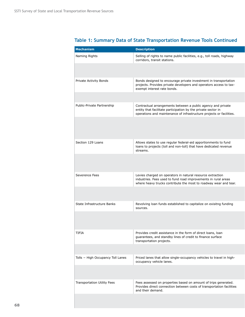| <b>Mechanism</b>                  | <b>Description</b>                                                                                                                                                                                    |
|-----------------------------------|-------------------------------------------------------------------------------------------------------------------------------------------------------------------------------------------------------|
| Naming Rights                     | Selling of rights to name public facilities, e.g., toll roads, highway<br>corridors, transit stations.                                                                                                |
|                                   |                                                                                                                                                                                                       |
| Private Activity Bonds            | Bonds designed to encourage private investment in transportation<br>projects. Provides private developers and operators access to tax-<br>exempt interest rate bonds.                                 |
|                                   |                                                                                                                                                                                                       |
| Public-Private Partnership        | Contractual arrangements between a public agency and private<br>entity that facilitate participation by the private sector in<br>operations and maintenance of infrastructure projects or facilities. |
|                                   |                                                                                                                                                                                                       |
| Section 129 Loans                 | Allows states to use regular federal-aid apportionments to fund<br>loans to projects (toll and non-toll) that have dedicated revenue<br>streams.                                                      |
|                                   |                                                                                                                                                                                                       |
| Severence Fees                    | Levies charged on operators in natural resource extraction<br>industries. Fees used to fund road improvements in rural areas<br>where heavy trucks contribute the most to roadway wear and tear.      |
|                                   |                                                                                                                                                                                                       |
| State Infrastructure Banks        | Revolving loan funds established to capitalize on exisitng funding<br>sources.                                                                                                                        |
|                                   |                                                                                                                                                                                                       |
| <b>TIFIA</b>                      | Provides credit assistance in the form of direct loans, loan<br>guarantees, and standby lines of credit to finance surface<br>transportation projects.                                                |
|                                   |                                                                                                                                                                                                       |
| Tolls - High Occupancy Toll Lanes | Priced lanes that allow single-occupancy vehicles to travel in high-<br>occupancy vehicle lanes.                                                                                                      |
|                                   |                                                                                                                                                                                                       |
| Transportation Utility Fees       | Fees assessed on properties based on amount of trips generated.<br>Provides direct connection between costs of transportation facilities<br>and their demand.                                         |
|                                   |                                                                                                                                                                                                       |

# **Table 1: Summary Data of State Transportation Revenue Tools Continued**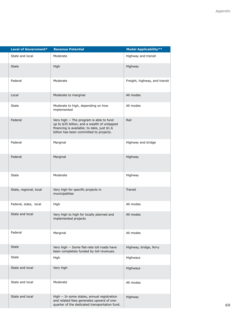| Level of Government*   | <b>Revenue Potential</b>                                                                                                                                                          | <b>Modal Applicability**</b>  |
|------------------------|-----------------------------------------------------------------------------------------------------------------------------------------------------------------------------------|-------------------------------|
| State and local        | Moderate                                                                                                                                                                          | Highway and transit           |
| State                  | High                                                                                                                                                                              | Highway                       |
| Federal                | Moderate                                                                                                                                                                          | Freight, highway, and transit |
| Local                  | Moderate to marginal                                                                                                                                                              | All modes                     |
| State                  | Moderate to high, depending on how<br>implemented                                                                                                                                 | All modes                     |
| Federal                | Very high - The program is able to fund<br>up to \$35 billion, and a wealth of untapped<br>financing is available; to date, just \$1.6<br>billion has been committed to projects. | Rail                          |
| Federal                | Marginal                                                                                                                                                                          | Highway and bridge            |
| Federal                | Marginal                                                                                                                                                                          | Highway                       |
| State                  | Moderate                                                                                                                                                                          | Highway                       |
| State, regional, local | Very high for specific projects in<br>municipalities                                                                                                                              | Transit                       |
| Federal, state, local  | High                                                                                                                                                                              | All modes                     |
| State and local        | Very high to high for locally planned and<br>implemented projects                                                                                                                 | All modes                     |
| Federal                | Marginal                                                                                                                                                                          | All modes                     |
| State                  | Very high - Some flat-rate toll roads have<br>been completely funded by toll revenues.                                                                                            | Highway, bridge, ferry        |
| State                  | High                                                                                                                                                                              | Highways                      |
| State and local        | Very high                                                                                                                                                                         | Highways                      |
| State and local        | Moderate                                                                                                                                                                          | All modes                     |
| State and local        | High - In some states, annual registration<br>and related fees generates upward of one-<br>quarter of the dedicated transportation fund.                                          | Highway                       |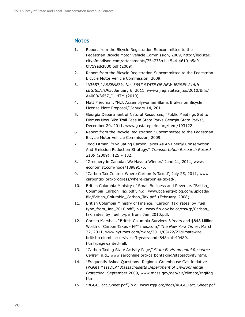## **Notes**

- 1. Report from the Bicycle Registration Subcommittee to the Pedestrian Bicycle Motor Vehicle Commission, 2009, http://legistar. cityofmadison.com/attachments/75a733b1–1544-4619-a5a0– 0f759adcf830.pdf (2009).
- 2. Report from the Bicycle Registration Subcommittee to the Pedestrian Bicycle Motor Vehicle Commission, 2009.
- 3. "A3657," *ASSEMBLY, No. 3657 STATE OF NEW JERSEY 214th LEGISLATURE*, January 6, 2011, www.njleg.state.nj.us/2010/Bills/ A4000/3657\_I1.HTM,(2010).
- 4. Matt Friedman, "N.J. Assemblywoman Slams Brakes on Bicycle License Plate Proposal," January 14, 2011.
- 5. Georgia Department of Natural Resources, "Public Meetings Set to Discuss New Bike Trail Fees in State Parks Georgia State Parks", December 20, 2011, www.gastateparks.org/item/193122.
- 6. Report from the Bicycle Registration Subcommittee to the Pedestrian Bicycle Motor Vehicle Commission, 2009.
- 7. Todd Litman, "Evaluating Carbon Taxes As An Energy Conservation And Emission Reduction Strategy,'" *Transportation Research Record 2139* (2009): 125 – 132.
- 8. "Greenery in Canada: We Have a Winner," June 21, 2011, www. economist.com/node/18989175.
- 9. "Carbon Tax Center: Where Carbon Is Taxed", July 25, 2011, www. carbontax.org/progress/where-carbon-is-taxed/.
- 10. British Columbia Ministry of Small Business and Revenue. "British\_ Columbia\_Carbon\_Tax.pdf", n.d., www.bcenergyblog.com/uploads/ file/British\_Columbia\_Carbon\_Tax.pdf. (February, 2008).
- 11. British Columbia Ministry of Finance. "Carbon tax rates by fuel type\_from\_Jan\_2010.pdf", n.d., www.fin.gov.bc.ca/tbs/tp/Carbon\_ tax\_rates\_by\_fuel\_type\_from\_Jan\_2010.pdf.
- 12. Christa Marshall, "British Columbia Survives 3 Years and \$848 Million Worth of Carbon Taxes - NYTimes.com," *The New York Times*, March 22, 2011, www.nytimes.com/cwire/2011/03/22/22climatewirebritish-columbia-survives–3-years-and–848-mi–40489. html?pagewanted=all.
- 13. "Carbon Taxing State Activity Page," *State Environmental Resource Center*, n.d., www.serconline.org/carbontaxing/stateactivity.html.
- 14. "Frequently Asked Questions: Regional Greenhouse Gas Initiative (RGGI) MassDEP," *Massachusetts Department of Environmental Protection*, September 2009, www.mass.gov/dep/air/climate/rggifaq. htm.
- 15. "RGGI\_Fact\_Sheet.pdf", n.d., www.rggi.org/docs/RGGI\_Fact\_Sheet.pdf.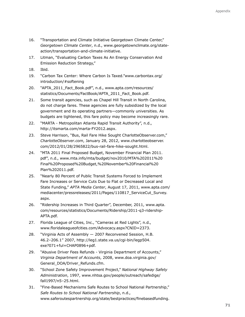- 16. "Transportation and Climate Initiative Georgetown Climate Center," *Georgetown Climate Center*, n.d., www.georgetownclimate.org/stateaction/transportation-and-climate-initiative.
- 17. Litman, "Evaluating Carbon Taxes As An Energy Conservation And Emission Reduction Strategy,"
- 18. Ibid.
- 19. "Carbon Tax Center: Where Carbon Is Taxed."www.carbontax.org/ introduction/#softening
- 20. "APTA\_2011\_Fact\_Book.pdf", n.d., www.apta.com/resources/ statistics/Documents/FactBook/APTA\_2011\_Fact\_Book.pdf.
- 21. Some transit agencies, such as Chapel Hill Transit in North Carolina, do not charge fares. These agencies are fully subsidized by the local government and its operating partners—commonly universities. As budgets are tightened, this fare policy may become increasingly rare.
- 22. "MARTA Metropolitan Atlanta Rapid Transit Authority", n.d., http://itsmarta.com/marta-FY2012.aspx.
- 23. Steve Harrison, "Bus, Rail Fare Hike Sought CharlotteObserver.com," *CharlotteObserver.com*, January 28, 2012, www.charlotteobserver. com/2012/01/28/2965822/bus-rail-fare-hike-sought.html.
- 24. "MTA 2011 Final Proposed Budget, November Financial Plan 2011. pdf", n.d., www.mta.info/mta/budget/nov2010/MTA%202011%20 Final%20Proposed%20Budget,%20November%20Financial%20 Plan%202011.pdf.
- 25. "Nearly 80 Percent of Public Transit Systems Forced to Implement Fare Increases or Service Cuts Due to Flat or Decreased Local and State Funding," *APTA Media Center*, August 17, 2011, www.apta.com/ mediacenter/pressreleases/2011/Pages/110817\_ServiceCut\_Survey. aspx.
- 26. "Ridership Increases in Third Quarter", December, 2011, www.apta. com/resources/statistics/Documents/Ridership/2011-q3-ridership-APTA.pdf.
- 27. Florida League of Cities, Inc., "Cameras at Red Lights", n.d., www.floridaleagueofcities.com/Advocacy.aspx?CNID=2373.
- 28. "Virginia Acts of Assembly 2007 Reconvened Session, H.B. 46.2–206.1" 2007, http://leg1.state.va.us/cgi-bin/legp504. exe?071+ful+CHAP0896+pdf.
- 29. "Abusive Driver Fees Refunds Virginia Department of Accounts," *Virginia Department of Accounts*, 2008, www.doa.virginia.gov/ General\_DOA/Driver\_Refunds.cfm.
- 30. "School Zone Safety Improvement Project," *National Highway Safety Administration*, 1997, www.nhtsa.gov/people/outreach/safedige/ fall1997/n5–25.html.
- 31. "Fine-Based Mechanisms Safe Routes to School National Partnership," *Safe Routes to School National Partnership*, n.d., www.saferoutespartnership.org/state/bestpractices/finebasedfunding.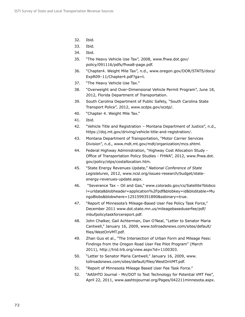- 32. Ibid.
- 33. Ibid.
- 34. Ibid.
- 35. "The Heavy Vehicle Use Tax", 2008, www.fhwa.dot.gov/ policy/091116/pdfs/fhwa8-page.pdf.
- 36. "Chapter4. Weight Mile Tax", n.d., www.oregon.gov/DOR/STATS/docs/ ExpR09–11/Chapter4.pdf?ga=t.
- 37. "The Heavy Vehicle Use Tax."
- 38. "Overweight and Over-Dimensional Vehicle Permit Program", June 18, 2012, Florida Department of Transportation.
- 39. South Carolina Department of Public Safety, "South Carolina State Transport Police", 2012, www.scdps.gov/scstp/.
- 40. "Chapter 4. Weight Mile Tax."
- 41. Ibid.
- 42. "Vehicle Title and Registration Montana Department of Justice", n.d., https://doj.mt.gov/driving/vehicle-title-and-registration/.
- 43. Montana Department of Transportation, "Motor Carrier Services Division", n.d., www.mdt.mt.gov/mdt/organization/mcs.shtml.
- 44. Federal Highway Administration, "Highway Cost Allocation Study Office of Transportation Policy Studies - FHWA", 2012, www.fhwa.dot. gov/policy/otps/costallocation.htm.
- 45. "State Energy Revenues Update," *National Conference of State Legislatures*, 2012, www.ncsl.org/issues-research/budget/stateenergy-revenues-update.aspx.
- 46. "Severance Tax Oil and Gas," www.colorado.gov/cs/Satellite?blobco l=urldata&blobheader=application%2Fpdf&blobkey=id&blobtable=Mu ngoBlobs&blobwhere=1251599351890&ssbinary=true.
- 47. "Report of Minnesota's Mileage-Based User Fee Policy Task Force," December 2011 www.dot.state.mn.us/mileagebaseduserfee/pdf/ mbufpolicytaskforcereport.pdf.
- 48. John Chalker, Gail Achterman, Dan O'Neal, "Letter to Senator Maria Cantwell," January 16, 2009, www.tollroadsnews.com/sites/default/ files/WestOnVMT.pdf.
- 49. Zhan Guo et al., "The Intersection of Urban Form and Mileage Fees: Findings from the Oregon Road User Fee Pilot Program" (March 2011), http://trid.trb.org/view.aspx?id=1100303.
- 50. "Letter to Senator Maria Cantwell," January 16, 2009, www. tollroadsnews.com/sites/default/files/WestOnVMT.pdf.
- 51. "Report of Minnesota Mileage Based User Fee Task Force."
- 52. "AASHTO Journal Mn/DOT to Test Technology for Potential VMT Fee", April 22, 2011, www.aashtojournal.org/Pages/042211minnesota.aspx.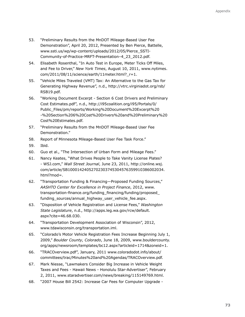- 53. "Preliminary Results from the MnDOT Mileage-Based User Fee Demonstration", April 20, 2012, Presented by Ben Pierce, Battelle, www.ssti.us/wp/wp-content/uploads/2012/05/Pierce\_SSTI-Community-of-Practice-MRFT-Presentation–4\_23\_2012.pdf.
- 54. Elisabeth Rosenthal, "In Auto Test in Europe, Meter Ticks Off Miles, and Fee to Driver," *New York Times*, August 10, 2011, www.nytimes. com/2011/08/11/science/earth/11meter.html?\_r=1.
- 55. "Vehicle Miles Traveled (VMT) Tax: An Alternative to the Gas Tax for Generating Highway Revenue", n.d., http://vtrc.virginiadot.org/rsb/ RSB19.pdf.
- 56. "Working Document Excerpt Section 6 Cost Drivers and Preliminary Cost Estimates.pdf", n.d., http://i95coalition.org/i95/Portals/0/ Public\_Files/pm/reports/Working%20Document%20Excerpt%20 -%20Section%206%20Cost%20Drivers%20and%20Preliminary%20 Cost%20Estimates.pdf.
- 57. "Preliminary Results from the MnDOT Mileage-Based User Fee Demonstration."
- 58. Report of Minnesota Mileage-Based User Fee Task Force."
- 59. Ibid.
- 60. Guo et al., "The Intersection of Urban Form and Mileage Fees."
- 61. Nancy Keates, "What Drives People to Take Vanity License Plates? - WSJ.com," *Wall Street Journal*, June 23, 2011, http://online.wsj. com/article/SB10001424052702303745304576359910386002034. html?mod=.
- 62. "Transportation Funding & Financing—Proposed Funding Sources," *AASHTO Center for Excellence in Project Finance*, 2012, www. transportation-finance.org/funding\_financing/funding/proposed\_ funding\_sources/annual\_highway\_user\_vehicle\_fee.aspx.
- 63. "Disposition of Vehicle Registration and License Fees," *Washington State Legislature*, n.d., http://apps.leg.wa.gov/rcw/default. aspx?cite=46.68.030.
- 64. "Transportation Development Association of Wisconsin", 2012, www.tdawisconsin.org/transportation.iml.
- 65. "Colorado's Motor Vehicle Registration Fees Increase Beginning July 1, 2009," *Boulder County, Colorado*, June 18, 2009, www.bouldercounty. org/apps/newsroom/templates/bc12.aspx?articleid=1714&zoneid=1.
- 66. "TRACOverview.pdf", January, 2011 www.coloradodot.info/about/ committees/trac/Minutes%20and%20Agendas/TRACOverview.pdf.
- 67. Mark Niesse, "Lawmakers Consider Big Increase in Vehicle Weight Taxes and Fees - Hawaii News - Honolulu Star-Advertiser", February 2, 2011, www.staradvertiser.com/news/breaking/115149769.html.
- 68. "2007 House Bill 2542: Increase Car Fees for Computer Upgrade -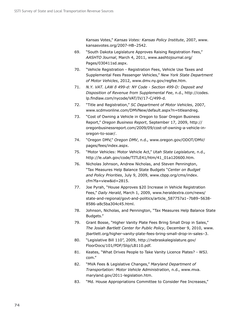Kansas Votes," *Kansas Votes: Kansas Policy Institute*, 2007, www. kansasvotes.org/2007-HB–2542.

- 69. "South Dakota Legislature Approves Raising Registration Fees," *AASHTO Journal*, March 4, 2011, www.aashtojournal.org/ Pages/030411sd.aspx.
- 70. "Vehicle Registration Registration Fees, Vehicle Use Taxes and Supplemental Fees Passenger Vehicles," *New York State Department of Motor Vehicles*, 2012, www.dmv.ny.gov/regfee.htm.
- 71. *N.Y. VAT. LAW ß 499-d: NY Code Section 499-D: Deposit and Disposition of Revenue from Supplemental Fee*, n.d., http://codes. lp.findlaw.com/nycode/VAT/IV/17-C/499-d.
- 72. "Title and Registration," *SC Department of Motor Vehicles*, 2007, www.scdmvonline.com/DMVNew/default.aspx?n=titleandreg.
- 73. "Cost of Owning a Vehicle in Oregon to Soar Oregon Business Report," *Oregon Business Report*, September 17, 2009, http:// oregonbusinessreport.com/2009/09/cost-of-owning-a-vehicle-inoregon-to-soar/.
- 74. "Oregon DMV," *Oregon DMV*, n.d., www.oregon.gov/ODOT/DMV/ pages/fees/index.aspx.
- 75. "Motor Vehicles: Motor Vehicle Act," *Utah State Legislature*, n.d., http://le.utah.gov/code/TITLE41/htm/41\_01a120600.htm.
- 76. Nicholas Johnson, Andrew Nicholas, and Steven Pennington, "Tax Measures Help Balance State Budgets "*Center on Budget and Policy Priorities*, July 9, 2009, www.cbpp.org/cms/index. cfm?fa=view&id=2815.
- 77. Joe Pyrah, "House Approves \$20 Increase in Vehicle Registration Fees," *Daily Herald*, March 1, 2009, www.heraldextra.com/news/ state-and-regional/govt-and-politics/article\_587757a1–7b89–5638- 8586-a8c5ba304c45.html.
- 78. Johnson, Nicholas, and Pennington, "Tax Measures Help Balance State Budgets."
- 79. Grant Bosse, "Higher Vanity Plate Fees Bring Small Drop in Sales," *The Josiah Bartlett Center for Public Policy*, December 9, 2010, www. jbartlett.org/higher-vanity-plate-fees-bring-small-drop-in-sales–3.
- 80. "Legislative Bill 110", 2009, http://nebraskalegislature.gov/ FloorDocs/101/PDF/Slip/LB110.pdf.
- 81. Keates, "What Drives People to Take Vanity Licence Plates? WSJ. com."
- 82. "MVA Fees & Legislative Changes," *Maryland Department of Transportation: Motor Vehicle Administration*, n.d., www.mva. maryland.gov/2011-legislation.htm.
- 83. "Md. House Appropriations Committee to Consider Fee Increases,"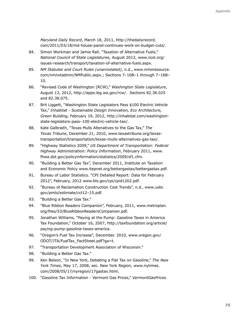*Maryland Daily Record*, March 18, 2011, http://thedailyrecord. com/2011/03/18/md-house-panel-continues-work-on-budget-cuts/.

- 84. Simon Workman and Jamie Rall, "Taxation of Alternative Fuels," *National Council of State Legislatures*, August 2012, www.ncsl.org/ issues-research/transport/taxation-of-alternative-fuels.aspx.
- 85. *NM Statutes and Court Rules (unannotated)*, n.d., www.nmonesource. com/nmnxtadmin/NMPublic.aspx.; Sections 7–16B–1 through 7–16B– 10.
- 86. "Revised Code of Washington (RCW)," *Washington State Legislature*, August 13, 2012, http://apps.leg.wa.gov/rcw/. Sections 82.36.025 and 82.38.075.
- 87. Brit Liggett, "Washington State Legislators Pass \$100 Electric Vehicle Tax," *Inhabitat - Sustainable Design Innovation, Eco Architecture, Green Building*, February 19, 2012, http://inhabitat.com/washingtonstate-legislators-pass–100-electric-vehicle-tax/.
- 88. Kate Galbraith, "Texas Mulls Altenatives to the Gas Tax," *The Texas Tribune*, December 21, 2010, www.texastribune.org/texastransportation/transportation/texas-mulls-alternatives-gas-tax/.
- 89. "Highway Statistics 2009," *US Department of Transportation: Federal Highway Administration: Policy Information*, February 2011, www. fhwa.dot.gov/policyinformation/statistics/2009/sf1.cfm.
- 90. "Building a Better Gas Tax", December 2011, Institute on Taxation and Economic Policy www.itepnet.org/bettergastax/bettergastax.pdf.
- 91. Bureau of Labor Statistics. "CPI Detailed Report: Data for February 2012", February, 2012 www.bls.gov/cpi/cpid1202.pdf.
- 92. "Bureau of Reclamation Construction Cost Trends", n.d., www.usbr. gov/pmts/estimate/cct12–15.pdf.
- 93. "Building a Better Gas Tax."
- 94. "Blue Ribbon Readers Companion", February, 2011, www.metroplan. org/files/53/BlueRibbonReadersCompanion.pdf.
- 95. Jonathan Williams, "Paying at the Pump: Gasoline Taxes in America Tax Foundation," October 16, 2007, http://taxfoundation.org/article/ paying-pump-gasoline-taxes-america.
- 96. "Oregon's Fuel Tax Increase", December. 2010, www.oregon.gov/ ODOT/JTA/FuelTax\_FactSheet.pdf?ga=t.
- 97. "Transportation Development Association of Wisconsin."
- 98. "Building a Better Gas Tax."
- 99. Ken Belson, "In New York, Debating a Flat Tax on Gasoline," *The New York Times*, May 17, 2008, sec. New York Region, www.nytimes. com/2008/05/17/nyregion/17gastax.html.
- 100. "Gasoline Tax Information Vermont Gas Prices," *VermontGasPrices.*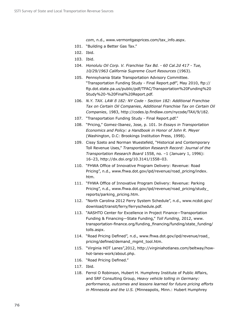*com*, n.d., www.vermontgasprices.com/tax\_info.aspx.

- 101. "Building a Better Gas Tax."
- 102. Ibid.
- 103. Ibid.
- 104. *Honolulu Oil Corp. V. Franchise Tax Bd. 60 Cal.2d 417 Tue, 10/29/1963 California Supreme Court Resources* (1963).
- 105. Pennsylvania State Transportation Advisory Committee. "Transportation Funding Study - Final Report.pdf", May 2010, ftp:// ftp.dot.state.pa.us/public/pdf/TFAC/Transportation%20Funding%20 Study%20-%20Final%20Report.pdf.
- 106. *N.Y. TAX. LAW ß 182: NY Code Section 182: Additional Franchise Tax on Certain Oil Companies*, *Additional Franchise Tax on Certain Oil Companies*, 1983, http://codes.lp.findlaw.com/nycode/TAX/9/182.
- 107. "Transportation Funding Study Final Report.pdf."
- 108. "Pricing," Gomez-Ibanez, Jose, p. 101. In *Essays in Transportation Economics and Policy: a Handbook in Honor of John R. Meyer* (Washington, D.C: Brookings Institution Press, 1998).
- 109. Cissy Szeto and Norman Wuestefeld, "Historical and Contemporary Toll Revenue Uses," *Transportation Research Record: Journal of the Transportation Research Board* 1558, no. –1 (January 1, 1996): 16–23, http://dx.doi.org/10.3141/1558–03.
- 110. "FHWA Office of Innovative Program Delivery: Revenue: Road Pricing", n.d., www.fhwa.dot.gov/ipd/revenue/road\_pricing/index. htm.
- 111. "FHWA Office of Innovative Program Delivery: Revenue: Parking Pricing", n.d., www.fhwa.dot.gov/ipd/revenue/road\_pricing/study\_ reports/parking\_pricing.htm.
- 112. "North Carolina 2012 Ferry System Schedule", n.d., www.ncdot.gov/ download/transit/ferry/ferryschedule.pdf.
- 113. "AASHTO Center for Excellence in Project Finance—Transportation Funding & Financing—State Funding," *Toll Funding*, 2012, www. transportation-finance.org/funding\_financing/funding/state\_funding/ tolls.aspx.
- 114. "Road Pricing Defined", n.d., www.fhwa.dot.gov/ipd/revenue/road\_ pricing/defined/demand\_mgmt\_tool.htm.
- 115. "Virginia HOT Lanes",2012, http://virginiahotlanes.com/beltway/howhot-lanes-work/about.php.
- 116. "Road Pricing Defined."
- 117. Ibid.
- 118. Ferrol O Robinson, Hubert H. Humphrey Institute of Public Affairs, and SRF Consulting Group, *Heavy vehicle tolling in Germany: performance, outcomes and lessons learned for future pricing efforts in Minnesota and the U.S.* (Minneapolis, Minn.: Hubert Humphrey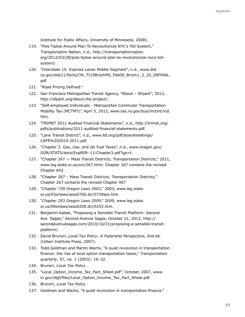Institute for Public Affairs, University of Minnesota, 2008).

- 119. "Pols Tiptoe Around Plan To Revolutionize NYC's Toll System," *Transportation Nation*, n.d., http://transportationnation. org/2012/03/28/pols-tiptoe-around-plan-to-revolutionize-nycs-tollsystem/.
- 120. "Interstate 15: Express Lanes Middle Segment", n.d., www.dot. ca.gov/dist11/facts/CW\_TI15BrochMS\_Feb09\_Broch1\_2\_20\_09FINAL. pdf.
- 121. "Road Pricing Defined."
- 122. San Francisco Metropolitan Transit Agency, "About SFpark", 2012, http://sfpark.org/about-the-project/.
- 123. "Self-employed Individuals Metropolitan Commuter Transportation Mobility Tax (MCTMT)", April 5, 2012, www.tax.ny.gov/bus/mctmt/ind. htm.
- 124. "TRIMET 2011 Audited Financial Statements", n.d., http://trimet.org/ pdfs/publications/2011-audited-financial-statements.pdf.
- 125. "Lane Transit District", n.d., www.ltd.org/pdf/boardmeetings/ CAFR%202010-2011.pdf.
- 126. "Chapter 3. Gas, Use, and Jet Fuel Taxes", n.d., www.oregon.gov/ DOR/STATS/docs/ExpR09–11/Chapter3.pdf?ga=t.
- 127. "Chapter 267 Mass Transit Districts; Transportation Districts," 2011, www.leg.state.or.us/ors/267.html. Chapter 267 contains the revised Chapter 643.
- 128. "Chapter 267 Mass Transit Districts; Transportation Districts," Chapter 267 contains the revised Chapter 907
- 129. "*Chapter 739 Oregon Laws 2003*," 2003, www.leg.state. or.us/03orlaws/sess0700.dir/0739ses.htm.
- 130. "*Chapter 253 Oregon Laws 2009*," 2009, www.leg.state. or.us/09orlaws/sess0200.dir/0253.htm.
- 131. Benjamin Kabak, "Proposing a Sensible Transit Platform: Second Ave. Sagas," *Second Avenue Sagas*, October 21, 2012, http:// secondavenuesagas.com/2010/10/21/proposing-a-sensible-transitplatform/.
- 132. David Brunori, *Local Tax Policy: A Federalist Perspective*, 2nd ed. (Urban Institute Press, 2007).
- 133. Todd Goldman and Martin Wachs, "A quiet revolution in transportation finance: the rise of local option transportation taxes," *Transportation quarterly.* 57, no. 1 (2003): 19–32.
- 134. Brunori, *Local Tax Policy* .
- 135. "Local\_Option\_Income\_Tax\_Fact\_Sheet.pdf", October, 2007, www. in.gov/dlgf/files/Local\_Option\_Income\_Tax\_Fact\_Sheet.pdf.
- 136. Brunori, *Local Tax Policy* .
- 137. Goldman and Wachs, "A quiet revolution in transportation finance."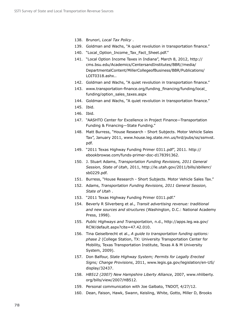- 138. Brunori, *Local Tax Policy* .
- 139. Goldman and Wachs, "A quiet revolution in transportation finance."
- 140. "Local Option Income Tax Fact Sheet.pdf."
- 141. "Local Option Income Taxes in Indiana", March 8, 2012, http:// cms.bsu.edu/Academics/CentersandInstitutes/BBR//media/ DepartmentalContent/MillerCollegeofBusiness/BBR/Publications/ LOIT0318.ashx..
- 142. Goldman and Wachs, "A quiet revolution in transportation finance."
- 143. www.transportation-finance.org/funding\_financing/funding/local funding/option\_sales\_taxes.aspx
- 144. Goldman and Wachs, "A quiet revolution in transportation finance."
- 145. Ibid.
- 146. Ibid.
- 147. "AASHTO Center for Excellence in Project Finance—Transportation Funding & Financing—State Funding."
- 148. Matt Burress, "House Research Short Subjects. Motor Vehicle Sales Tax", January 2011, www.house.leg.state.mn.us/hrd/pubs/ss/ssmvst. pdf.
- 149. "2011 Texas Highway Funding Primer 0311.pdf", 2011. http:// ebookbrowse.com/funds-primer-doc-d178391362.
- 150. J. Stuart Adams, *Transportation Funding Revisions, 2011 General Session, State of Utah*, 2011, http://le.utah.gov/2011/bills/sbillenr/ sb0229.pdf.
- 151. Burress, "House Research Short Subjects. Motor Vehicle Sales Tax."
- 152. Adams, *Transportation Funding Revisions, 2011 General Session, State of Utah* .
- 153. "2011 Texas Highway Funding Primer 0311.pdf."
- 154. Beverly R Silverberg et al., *Transit advertising revenue: traditional and new sources and structures* (Washington, D.C.: National Academy Press, 1998).
- 155. *Public Highways and Transportation*, n.d., http://apps.leg.wa.gov/ RCW/default.aspx?cite=47.42.010.
- 156. Tina Geiselbrecht et al., *A guide to transportation funding options: phase 2* (College Station, TX: University Transportation Center for Mobility, Texas Transportation Institute, Texas A & M University System, 2009).
- 157. Don Balfour, *State Highway System; Permits for Legally Erected Signs; Change Provisions*, 2011, www.legis.ga.gov/legislation/en-US/ display/32437.
- 158. *HB512 (2007) New Hampshire Liberty Alliance*, 2007, www.nhliberty. org/bills/view/2007/HB512.
- 159. Personal communication with Joe Galbato, TNDOT, 4/27/12.
- 160. Dean, Faison, Hawk, Swann, Keisling, White, Gotto, Miller D, Brooks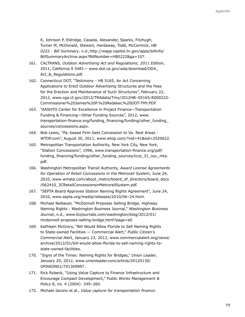K, Johnson P, Eldridge, Casada, Alexander, Sparks, Fitzhugh, Turner M, McDonald, Stewart, Hardaway, Todd, McCormick, *HB 0222 - Bill Summary*, n.d.,http://wapp.capitol.tn.gov/apps/billinfo/ BillSummaryArchive.aspx?BillNumber=HB0222&ga=107.

- 161. CALTRANS, *Outdoor Advertising Act and Regulations; 2011 Edition*, 2011, California ß 5481— www.dot.ca.gov/oda/download/ODA\_ Act\_&\_Regulations.pdf.
- 162. Connecticut DOT, "Testimony HB 5165, An Act Concerning Applications to Erect Outdoor Advertising Structures and the Fees for the Erection and Maintenance of Such Structures", February 22, 2012, www.cga.ct.gov/2012/TRAdata/Tmy/2012HB–05165-R000222- Commissioner%20James%20P.%20Redeker,%20DOT-TMY.PDF.
- 163. "AASHTO Center for Excellence in Project Finance—Transportation Funding & Financing—Other Funding Sources", 2012, www. transportation-finance.org/funding\_financing/funding/other\_funding\_ sources/concessions.aspx.
- 164. Bob Lewis, "Pa.-based Firm Gets Concession to Va. Rest Areas WTOP.com", August 30, 2011, www.wtop.com/?nid=41&sid=2520622.
- 165. Metropolitan Transportation Authority, New York City, New York, "Station Concessions", 1996, www.transportation-finance.org/pdf/ funding\_financing/funding/other\_funding\_sources/tcrp\_31\_nyc\_mta. pdf.
- 166. Washington Metropolitan Transit Authority, *Award License Agreements for Operation of Retail Concessions in the Metrorail System*, June 24, 2010, www.wmata.com/about\_metro/board\_of\_directors/board\_docs /062410\_3CRetailConcessionsinMetrorailSystem.pdf.
- 167. "SEPTA Board Approves Station Naming Rights Agreement", June 24, 2010, www.septa.org/media/releases/2010/06–24.html.
- 168. Michael Neibauer, "McDonnell Proposes Selling Bridge, Highway Naming Rights - Washington Business Journal," *Washington Business Journal*, n.d., www.bizjournals.com/washington/blog/2012/01/ mcdonnell-proposes-selling-bridge.html?page=all.
- 169. Kathleen McGrory, "Bill Would Allow Florida to Sell Naming Rights to State-owned Facilities — Commercial Alert," *Public Citizen's Commercial Alert*, January 23, 2012, www.commercialalert.org/news/ archive/2012/01/bill-would-allow-florida-to-sell-naming-rights-tostate-owned-facilities.
- 170. "Signs of the Times: Naming Rights for Bridges," *Union Leader*, January 29, 2012, www.unionleader.com/article/20120130/ OPINION01/701309997.
- 171. Rick Rybeck, "Using Value Capture to Finance Infrastructure and Encourage Compact Development," *Public Works Management & Policy* 8, no. 4 (2004): 249–260.
- 172. Michael Iacono et al., *Value capture for transportation finance:*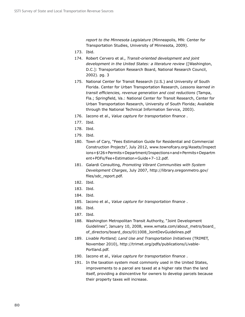*report to the Minnesota Legislature* (Minneapolis, MN: Center for Transportation Studies, University of Minnesota, 2009).

- 173. Ibid.
- 174. Robert Cervero et al., *Transit-oriented development and joint development in the United States: a literature review* ([Washington, D.C.]: Transportation Research Board, National Research Council, 2002). pg. 3
- 175. National Center for Transit Research (U.S.) and University of South Florida. Center for Urban Transportation Research, *Lessons learned in transit efficiencies, revenue generation and cost reductions* (Tampa, Fla.; Springfield, Va.: National Center for Transit Research, Center for Urban Transportation Research, University of South Florida; Available through the National Technical Information Service, 2003).
- 176. Iacono et al., *Value capture for transportation finance* .
- 177. Ibid.
- 178. Ibid.
- 179. Ibid.
- 180. Town of Cary, "Fees Estimation Guide for Residential and Commercial Construction Projects", July 2012, www.townofcary.org/Assets/Inspect ions+\$!26+Permits+Department/Inspections+and+Permits+Departm ent+PDFs/Fee+Estimation+Guide+7–12.pdf.
- 181. Galardi Consulting, *Promoting Vibrant Communities with System Development Charges*, July 2007, http://library.oregonmetro.gov/ files/sdc\_report.pdf.
- 182. Ibid.
- 183. Ibid.
- 184. Ibid.
- 185. Iacono et al., *Value capture for transportation finance* .
- 186. Ibid.
- 187. Ibid.
- 188. Washington Metropolitan Transit Authority, "Joint Development Guidelines", January 10, 2008, www.wmata.com/about\_metro/board\_ of\_directors/board\_docs/011008\_JointDevGuidelines.pdf
- 189. *Livable Portland; Land Use and Transportation Initiatives* (TRIMET, November 2010), http://trimet.org/pdfs/publications/Livable-Portland.pdf.
- 190. Iacono et al., *Value capture for transportation finance* .
- 191. In the taxation system most commonly used in the United States, improvements to a parcel are taxed at a higher rate than the land itself, providing a disincentive for owners to develop parcels because their property taxes will increase.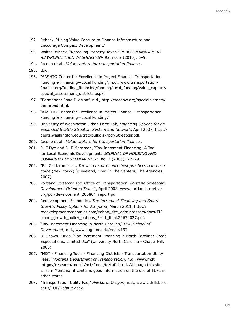- 192. Rybeck, "Using Value Capture to Finance Infrastructure and Encourage Compact Development."
- 193. Walter Rybeck, "Retooling Property Taxes," *PUBLIC MANAGEMENT -LAWRENCE THEN WASHINGTON-* 92, no. 2 (2010): 6–9.
- 194. Iacono et al., *Value capture for transportation finance* .
- 195. Ibid.
- 196. "AASHTO Center for Excellence in Project Finance—Transportation Funding & Financing—Local Funding", n.d., www.transportationfinance.org/funding\_financing/funding/local\_funding/value\_capture/ special\_assessment\_districts.aspx.
- 197. "Permanent Road Division", n.d., http://sdcdpw.org/specialdistricts/ permroad.html.
- 198. "AASHTO Center for Excellence in Project Finance—Transportation Funding & Financing—Local Funding."
- 199. University of Washington Urban Form Lab, *Financing Options for an Expanded Seattle Streetcar System and Network*, April 2007, http:// depts.washington.edu/trac/bulkdisk/pdf/Streetcar.pdf.
- 200. Iacono et al., *Value capture for transportation finance* .
- 201. R. F Dye and D. F Merriman, "Tax Increment Financing: A Tool for Local Economic Development," *JOURNAL OF HOUSING AND COMMUNITY DEVELOPMENT* 63, no. 3 (2006): 22–29.
- 202. "Bill Calderon et al., *Tax increment finance best practices reference guide* (New York?; [Cleveland, Ohio?]: The Centers; The Agencies, 2007).
- 203. Portland Streetcar, Inc. Office of Transportation, *Portland Streetcar: Development Oriented Transit*, April 2008, www.portlandstreetcar. org/pdf/development\_200804\_report.pdf.
- 204. Redevelopment Economics, *Tax Increment Financing and Smart Growth: Policy Options for Maryland*, March 2011, http:// redevelopmenteconomics.com/yahoo\_site\_admin/assets/docs/TIFsmart\_growth\_policy\_options\_5–11\_final.29674027.pdf.
- 205. "Tax Increment Financing in North Carolina," *UNC School of Government*, n.d., www.sog.unc.edu/node/197.
- 206. D. Shawn Purvis, "Tax Increment Financing in North Carolina: Great Expectations, Limited Use" (University North Carolina - Chapel Hill, 2008).
- 207. "MDT Financing Tools Financing Districts Transportation Utility Fees," *Montana Department of Transportation*, n.d., www.mdt. mt.gov/research/toolkit/m1/ftools/fd/tuf.shtml. Although this site is from Montana, it contains good information on the use of TUFs in other states.
- 208. "Transportation Utility Fee," *Hillsboro, Oregon*, n.d., www.ci.hillsboro. or.us/TUF/Default.aspx.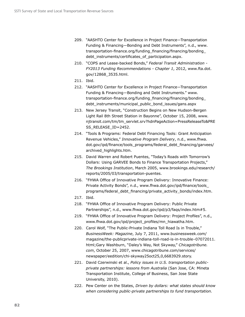- 209. "AASHTO Center for Excellence in Project Finance—Transportation Funding & Financing—Bonding and Debt Instruments", n.d., www. transportation-finance.org/funding\_financing/financing/bonding\_ debt\_instruments/certificates\_of\_participation.aspx.
- 210. "COPS and Lease-backed Bonds," *Federal Transit Administration FY2013 Funding Recommendations - Chapter 1*, 2012, www.fta.dot. gov/12868\_3535.html.
- 211. Ibid.
- 212. "AASHTO Center for Excellence in Project Finance—Transportation Funding & Financing—Bonding and Debt Instruments." www. transportation-finance.org/funding\_financing/financing/bonding\_ debt\_instruments/municipal\_public\_bond\_issues/gans.aspx
- 213. New Jersey Transit, "Construction Begins on New Hudson-Bergen Light Rail 8th Street Station in Bayonne", October 15, 2008, www. njtransit.com/tm/tm\_servlet.srv?hdnPageAction=PressReleaseTo&PRE SS\_RELEASE\_ID=2452.
- 214. "Tools & Programs: Federal Debt Financing Tools: Grant Anticipation Revenue Vehicles," *Innovative Program Delivery*, n.d., www.fhwa. dot.gov/ipd/finance/tools\_programs/federal\_debt\_financing/garvees/ archived\_highlights.htm.
- 215. David Warren and Robert Puentes, "Today's Roads with Tomorrow's Dollars: Using GARVEE Bonds to Finance Transportation Projects," *The Brookings Institution*, March 2005, www.brookings.edu/research/ reports/2005/03/transportation-puentes.
- 216. "FHWA Office of Innovative Program Delivery: Innovative Finance: Private Activity Bonds", n.d., www.fhwa.dot.gov/ipd/finance/tools\_ programs/federal\_debt\_financing/private\_activity\_bonds/index.htm.
- 217. Ibid.
- 218. "FHWA Office of Innovative Program Delivery: Public Private Partnerships", n.d., www.fhwa.dot.gov/ipd/p3/faqs/index.htm#5.
- 219. "FHWA Office of Innovative Program Delivery: Project Profiles", n.d., www.fhwa.dot.gov/ipd/project\_profiles/mn\_hiawatha.htm.
- 220. Carol Wolf, "The Public-Private Indiana Toll Road Is in Trouble," *BusinessWeek: Magazine*, July 7, 2011, www.businessweek.com/ magazine/the-publicprivate-indiana-toll-road-is-in-trouble–07072011. html;Gary Washburn, "Daley's Way, Not Skyway," *Chicagotribune. com*, October 25, 2007, www.chicagotribune.com/services/ newspaper/eedition/chi-skyway25oct25,0,6683929.story.
- 221. David Czerwinski et al., *Policy issues in U.S. transportation publicprivate partnerships: lessons from Australia* (San Jose, CA: Mineta Transportation Institute, College of Business, San Jose State University, 2010).
- 222. Pew Center on the States, *Driven by dollars: what states should know when considering public-private partnerships to fund transportation.*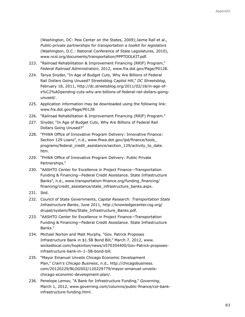(Washington, DC: Pew Center on the States, 2009);Jaime Rall et al., *Public-private partnerships for transportation a toolkit for legislators* (Washington, D.C.: National Conference of State Legislatures, 2010), www.ncsl.org/documents/transportation/PPPTOOLKIT.pdf.

- 223. "Railroad Rehabilitation & Improvement Financing (RRIF) Program," *Federal Railroad Administration*, 2012, www.fra.dot.gov/Page/P0128.
- 224. Tanya Snyder, "In Age of Budget Cuts, Why Are Billions of Federal Rail Dollars Going Unused? Streetsblog Capitol Hill," *DC Streetsblog*, February 18, 2011, http://dc.streetsblog.org/2011/02/18/in-age-ofs%C2%ADpending-cuts-why-are-billions-of-federal-rail-dollars-goingunused/.
- 225. Application information may be downloaded using the following link: www.fra.dot.gov/Page/P0128
- 226. "Railroad Rehabilitation & Improvement Financing (RRIF) Program."
- 227. Snyder, "In Age of Budget Cuts, Why Are Billions of Federal Rail Dollars Going Unused?"
- 228. "FHWA Office of Innovative Program Delivery: Innovative Finance: Section 129 Loans", n.d., www.fhwa.dot.gov/ipd/finance/tools\_ programs/federal\_credit\_assistance/section\_129/activity\_to\_date. htm.
- 229. "FHWA Office of Innovative Program Delivery: Public Private Partnerships."
- 230. "AASHTO Center for Excellence in Project Finance—Transportation Funding & Financing—Federal Credit Assistance. State Infrastructure Banks", n.d., www.transportation-finance.org/funding\_financing/ financing/credit\_assistance/state\_infrastructure\_banks.aspx.
- 231. Ibid.
- 232. Council of State Governments, *Capital Research: Transportation State Infrastructure Banks*, June 2011, http://knowledgecenter.csg.org/ drupal/system/files/State\_Infrastructure\_Banks.pdf.
- 233. "AASHTO Center for Excellence in Project Finance—Transportation Funding & Financing—Federal Credit Assistance. State Infrastructure Banks."
- 234. Michael Norton and Matt Murphy, "Gov. Patrick Proposes Infrastructure Bank in \$1.5B Bond Bill," March 7, 2012, www. wickedlocal.com/hopkinton/news/x570354400/Gov-Patrick-proposesinfrastructure-bank-in–1–5B-bond-bill.
- 235. "Mayor Emanuel Unveils Chicago Economic Development Plan," *Crain's Chicago Business*, n.d., http://chicagobusiness. com/20120229/BLOGS02/120229779/mayor-emanuel-unveilschicago-economic-development-plan/.
- 236. Penelope Lemov, "A Bank for Infrastructure Funding," *Governing*, March 1, 2012, www.governing.com/columns/public-finance/col-bankinfrastructure-funding.html.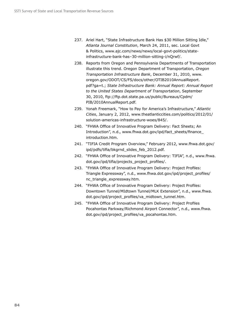- 237. Ariel Hart, "State Infrastructure Bank Has \$30 Million Sitting Idle," *Atlanta Journal Constitution*, March 24, 2011, sec. Local Govt & Politics, www.ajc.com/news/news/local-govt-politics/stateinfrastructure-bank-has–30-million-sitting-i/nQrwf/.
- 238. Reports from Oregon and Pennsylvania Departments of Transportation illustrate this trend. Oregon Department of Transportation, *Oregon Transportation Infrastructure Bank*, December 31, 2010, www. oregon.gov/ODOT/CS/FS/docs/other/OTIB2010AnnualReport. pdf?ga=t.; *State Infrastructure Bank: Annual Report: Annual Report to the United States Department of Transportation*, September 30, 2010, ftp://ftp.dot.state.pa.us/public/Bureaus/Cpdm/ PIB/2010AnnualReport.pdf.
- 239. Yonah Freemark, "How to Pay for America's Infrastructure," *Atlantic Cities*, January 2, 2012, www.theatlanticcities.com/politics/2012/01/ solution-americas-infrastructure-woes/845/.
- 240. "FHWA Office of Innovative Program Delivery: Fact Sheets; An Introduction", n.d., www.fhwa.dot.gov/ipd/fact\_sheets/finance\_ introduction.htm.
- 241. "TIFIA Credit Program Overview," February 2012, www.fhwa.dot.gov/ ipd/pdfs/tifia/bkgrnd\_slides\_feb\_2012.pdf.
- 242. "FHWA Office of Innovative Program Delivery: TIFIA", n.d., www.fhwa. dot.gov/ipd/tifia/projects\_project\_profiles/.
- 243. "FHWA Office of Innovative Program Delivery: Project Profiles: Triangle Expressway", n.d., www.fhwa.dot.gov/ipd/project\_profiles/ nc\_triangle\_expressway.htm.
- 244. "FHWA Office of Innovative Program Delivery: Project Profiles: Downtown Tunnel/MIdtown Tunnel/MLK Extension", n.d., www.fhwa. dot.gov/ipd/project\_profiles/va\_midtown\_tunnel.htm.
- 245. "FHWA Office of Innovative Program Delivery: Project Profiles Pocahontas Parkway/Richmond Airport Connector", n.d., www.fhwa. dot.gov/ipd/project\_profiles/va\_pocahontas.htm.